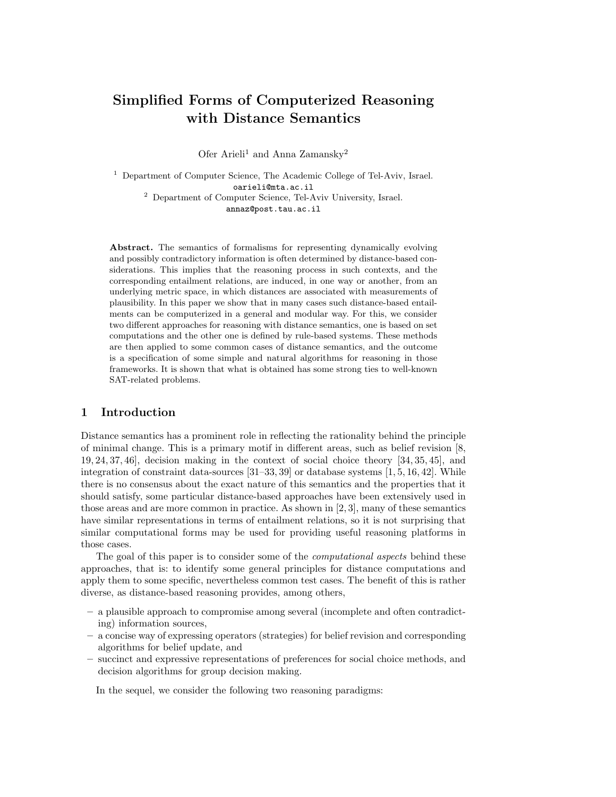# Simplified Forms of Computerized Reasoning with Distance Semantics

Ofer Arieli<sup>1</sup> and Anna Zamansky<sup>2</sup>

<sup>1</sup> Department of Computer Science, The Academic College of Tel-Aviv, Israel. oarieli@mta.ac.il <sup>2</sup> Department of Computer Science, Tel-Aviv University, Israel.

annaz@post.tau.ac.il

Abstract. The semantics of formalisms for representing dynamically evolving and possibly contradictory information is often determined by distance-based considerations. This implies that the reasoning process in such contexts, and the corresponding entailment relations, are induced, in one way or another, from an underlying metric space, in which distances are associated with measurements of plausibility. In this paper we show that in many cases such distance-based entailments can be computerized in a general and modular way. For this, we consider two different approaches for reasoning with distance semantics, one is based on set computations and the other one is defined by rule-based systems. These methods are then applied to some common cases of distance semantics, and the outcome is a specification of some simple and natural algorithms for reasoning in those frameworks. It is shown that what is obtained has some strong ties to well-known SAT-related problems.

## 1 Introduction

Distance semantics has a prominent role in reflecting the rationality behind the principle of minimal change. This is a primary motif in different areas, such as belief revision [8, 19, 24, 37, 46], decision making in the context of social choice theory [34, 35, 45], and integration of constraint data-sources  $[31–33, 39]$  or database systems  $[1, 5, 16, 42]$ . While there is no consensus about the exact nature of this semantics and the properties that it should satisfy, some particular distance-based approaches have been extensively used in those areas and are more common in practice. As shown in [2, 3], many of these semantics have similar representations in terms of entailment relations, so it is not surprising that similar computational forms may be used for providing useful reasoning platforms in those cases.

The goal of this paper is to consider some of the *computational aspects* behind these approaches, that is: to identify some general principles for distance computations and apply them to some specific, nevertheless common test cases. The benefit of this is rather diverse, as distance-based reasoning provides, among others,

- a plausible approach to compromise among several (incomplete and often contradicting) information sources,
- a concise way of expressing operators (strategies) for belief revision and corresponding algorithms for belief update, and
- succinct and expressive representations of preferences for social choice methods, and decision algorithms for group decision making.

In the sequel, we consider the following two reasoning paradigms: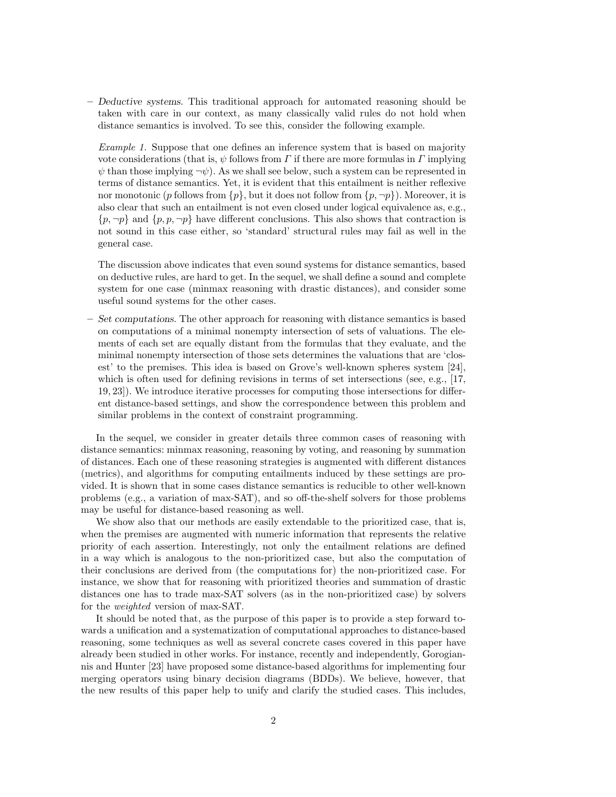– Deductive systems. This traditional approach for automated reasoning should be taken with care in our context, as many classically valid rules do not hold when distance semantics is involved. To see this, consider the following example.

Example 1. Suppose that one defines an inference system that is based on majority vote considerations (that is,  $\psi$  follows from  $\Gamma$  if there are more formulas in  $\Gamma$  implying  $\psi$  than those implying  $\neg \psi$ ). As we shall see below, such a system can be represented in terms of distance semantics. Yet, it is evident that this entailment is neither reflexive nor monotonic (p follows from  $\{p\}$ , but it does not follow from  $\{p, \neg p\}$ ). Moreover, it is also clear that such an entailment is not even closed under logical equivalence as, e.g.,  $\{p, \neg p\}$  and  $\{p, p, \neg p\}$  have different conclusions. This also shows that contraction is not sound in this case either, so 'standard' structural rules may fail as well in the general case.

The discussion above indicates that even sound systems for distance semantics, based on deductive rules, are hard to get. In the sequel, we shall define a sound and complete system for one case (minmax reasoning with drastic distances), and consider some useful sound systems for the other cases.

– Set computations. The other approach for reasoning with distance semantics is based on computations of a minimal nonempty intersection of sets of valuations. The elements of each set are equally distant from the formulas that they evaluate, and the minimal nonempty intersection of those sets determines the valuations that are 'closest' to the premises. This idea is based on Grove's well-known spheres system [24], which is often used for defining revisions in terms of set intersections (see, e.g., [17, 19, 23]). We introduce iterative processes for computing those intersections for different distance-based settings, and show the correspondence between this problem and similar problems in the context of constraint programming.

In the sequel, we consider in greater details three common cases of reasoning with distance semantics: minmax reasoning, reasoning by voting, and reasoning by summation of distances. Each one of these reasoning strategies is augmented with different distances (metrics), and algorithms for computing entailments induced by these settings are provided. It is shown that in some cases distance semantics is reducible to other well-known problems (e.g., a variation of max-SAT), and so off-the-shelf solvers for those problems may be useful for distance-based reasoning as well.

We show also that our methods are easily extendable to the prioritized case, that is, when the premises are augmented with numeric information that represents the relative priority of each assertion. Interestingly, not only the entailment relations are defined in a way which is analogous to the non-prioritized case, but also the computation of their conclusions are derived from (the computations for) the non-prioritized case. For instance, we show that for reasoning with prioritized theories and summation of drastic distances one has to trade max-SAT solvers (as in the non-prioritized case) by solvers for the weighted version of max-SAT.

It should be noted that, as the purpose of this paper is to provide a step forward towards a unification and a systematization of computational approaches to distance-based reasoning, some techniques as well as several concrete cases covered in this paper have already been studied in other works. For instance, recently and independently, Gorogiannis and Hunter [23] have proposed some distance-based algorithms for implementing four merging operators using binary decision diagrams (BDDs). We believe, however, that the new results of this paper help to unify and clarify the studied cases. This includes,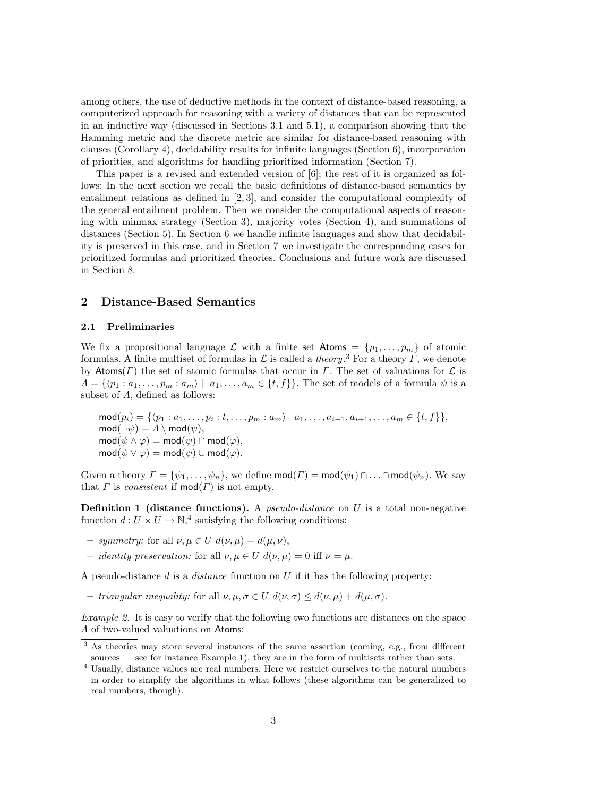among others, the use of deductive methods in the context of distance-based reasoning, a computerized approach for reasoning with a variety of distances that can be represented in an inductive way (discussed in Sections 3.1 and 5.1), a comparison showing that the Hamming metric and the discrete metric are similar for distance-based reasoning with clauses (Corollary 4), decidability results for infinite languages (Section 6), incorporation of priorities, and algorithms for handling prioritized information (Section 7).

This paper is a revised and extended version of [6]; the rest of it is organized as follows: In the next section we recall the basic definitions of distance-based semantics by entailment relations as defined in [2, 3], and consider the computational complexity of the general entailment problem. Then we consider the computational aspects of reasoning with minmax strategy (Section 3), majority votes (Section 4), and summations of distances (Section 5). In Section 6 we handle infinite languages and show that decidability is preserved in this case, and in Section 7 we investigate the corresponding cases for prioritized formulas and prioritized theories. Conclusions and future work are discussed in Section 8.

# 2 Distance-Based Semantics

## 2.1 Preliminaries

We fix a propositional language  $\mathcal L$  with a finite set Atoms =  $\{p_1, \ldots, p_m\}$  of atomic formulas. A finite multiset of formulas in  $\mathcal L$  is called a *theory*.<sup>3</sup> For a theory  $\Gamma$ , we denote by Atoms( $\Gamma$ ) the set of atomic formulas that occur in  $\Gamma$ . The set of valuations for  $\mathcal L$  is  $\Lambda = \{ \langle p_1 : a_1, \ldots, p_m : a_m \rangle \mid a_1, \ldots, a_m \in \{t, f\} \}.$  The set of models of a formula  $\psi$  is a subset of Λ, defined as follows:

 $\mathsf{mod}(p_i) = \{ \langle p_1 : a_1, \ldots, p_i : t, \ldots, p_m : a_m \rangle \mid a_1, \ldots, a_{i-1}, a_{i+1}, \ldots, a_m \in \{t, f\} \},$  $\text{mod}(\neg \psi) = \Lambda \setminus \text{mod}(\psi),$  $\text{mod}(\psi \land \varphi) = \text{mod}(\psi) \cap \text{mod}(\varphi),$  $\text{mod}(\psi \vee \varphi) = \text{mod}(\psi) \cup \text{mod}(\varphi).$ 

Given a theory  $\Gamma = {\psi_1, \ldots, \psi_n}$ , we define  $\text{mod}(\Gamma) = \text{mod}(\psi_1) \cap \ldots \cap \text{mod}(\psi_n)$ . We say that  $\Gamma$  is consistent if  $mod(\Gamma)$  is not empty.

**Definition 1 (distance functions).** A *pseudo-distance* on  $U$  is a total non-negative function  $d: U \times U \to \mathbb{N}$ , attisfying the following conditions:

- symmetry: for all  $\nu, \mu \in U$   $d(\nu, \mu) = d(\mu, \nu),$
- *identity preservation:* for all  $\nu, \mu \in U$   $d(\nu, \mu) = 0$  iff  $\nu = \mu$ .

A pseudo-distance  $d$  is a *distance* function on  $U$  if it has the following property:

– triangular inequality: for all  $\nu, \mu, \sigma \in U$   $d(\nu, \sigma) \leq d(\nu, \mu) + d(\mu, \sigma)$ .

Example 2. It is easy to verify that the following two functions are distances on the space Λ of two-valued valuations on Atoms:

<sup>&</sup>lt;sup>3</sup> As theories may store several instances of the same assertion (coming, e.g., from different sources — see for instance Example 1), they are in the form of multisets rather than sets.

<sup>4</sup> Usually, distance values are real numbers. Here we restrict ourselves to the natural numbers in order to simplify the algorithms in what follows (these algorithms can be generalized to real numbers, though).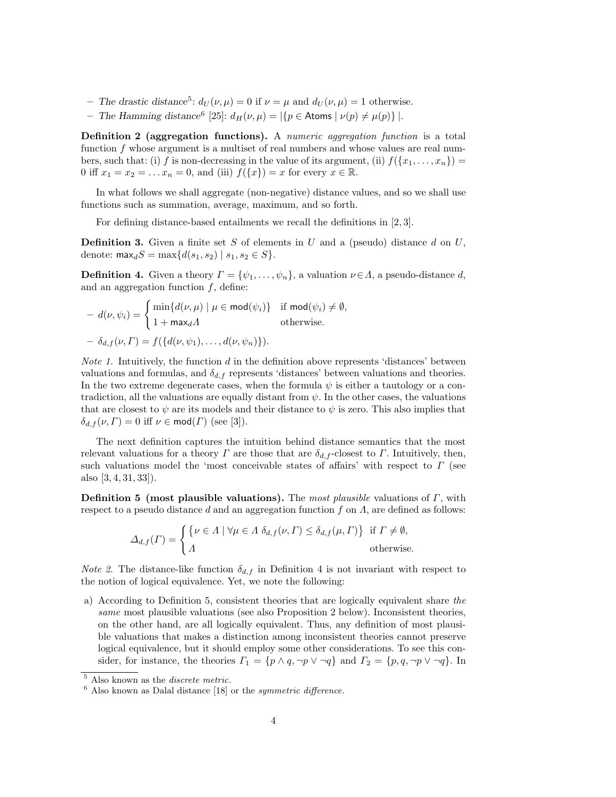- The drastic distance<sup>5</sup>:  $d_U(\nu,\mu) = 0$  if  $\nu = \mu$  and  $d_U(\nu,\mu) = 1$  otherwise.
- The Hamming distance<sup>6</sup> [25]:  $d_H(\nu, \mu) = |\{p \in \text{Atoms} \mid \nu(p) \neq \mu(p)\}|$ .

Definition 2 (aggregation functions). A numeric aggregation function is a total function f whose argument is a multiset of real numbers and whose values are real numbers, such that: (i) f is non-decreasing in the value of its argument, (ii)  $f({x_1, \ldots, x_n})$  = 0 iff  $x_1 = x_2 = ... x_n = 0$ , and (iii)  $f({x}) = x$  for every  $x \in \mathbb{R}$ .

In what follows we shall aggregate (non-negative) distance values, and so we shall use functions such as summation, average, maximum, and so forth.

For defining distance-based entailments we recall the definitions in [2, 3].

**Definition 3.** Given a finite set S of elements in U and a (pseudo) distance d on U, denote:  $\max_d S = \max\{d(s_1, s_2) | s_1, s_2 \in S\}.$ 

**Definition 4.** Given a theory  $\Gamma = {\psi_1, \dots, \psi_n}$ , a valuation  $\nu \in \Lambda$ , a pseudo-distance d, and an aggregation function  $f$ , define:

$$
- d(\nu, \psi_i) = \begin{cases} \min\{d(\nu, \mu) \mid \mu \in \text{mod}(\psi_i)\} & \text{if } \text{mod}(\psi_i) \neq \emptyset, \\ 1 + \max_d \Lambda & \text{otherwise.} \end{cases}
$$

$$
- \delta_{d,f}(\nu, \Gamma) = f(\{d(\nu, \psi_1), \dots, d(\nu, \psi_n)\}).
$$

*Note 1.* Intuitively, the function  $d$  in the definition above represents 'distances' between valuations and formulas, and  $\delta_{d,f}$  represents 'distances' between valuations and theories. In the two extreme degenerate cases, when the formula  $\psi$  is either a tautology or a contradiction, all the valuations are equally distant from  $\psi$ . In the other cases, the valuations that are closest to  $\psi$  are its models and their distance to  $\psi$  is zero. This also implies that  $\delta_{d,f}(\nu,\Gamma)=0$  iff  $\nu\in \text{mod}(\Gamma)$  (see [3]).

The next definition captures the intuition behind distance semantics that the most relevant valuations for a theory  $\Gamma$  are those that are  $\delta_{d,f}$ -closest to  $\Gamma$ . Intuitively, then, such valuations model the 'most conceivable states of affairs' with respect to  $\Gamma$  (see also [3, 4, 31, 33]).

**Definition 5** (most plausible valuations). The most plausible valuations of  $\Gamma$ , with respect to a pseudo distance d and an aggregation function f on  $\Lambda$ , are defined as follows:

$$
\Delta_{d,f}(\Gamma) = \begin{cases} \{ \nu \in \Lambda \mid \forall \mu \in \Lambda \, \delta_{d,f}(\nu,\Gamma) \leq \delta_{d,f}(\mu,\Gamma) \} & \text{if } \Gamma \neq \emptyset, \\ \Lambda & \text{otherwise.} \end{cases}
$$

*Note 2.* The distance-like function  $\delta_{d,f}$  in Definition 4 is not invariant with respect to the notion of logical equivalence. Yet, we note the following:

a) According to Definition 5, consistent theories that are logically equivalent share the same most plausible valuations (see also Proposition 2 below). Inconsistent theories, on the other hand, are all logically equivalent. Thus, any definition of most plausible valuations that makes a distinction among inconsistent theories cannot preserve logical equivalence, but it should employ some other considerations. To see this consider, for instance, the theories  $\Gamma_1 = \{p \wedge q, \neg p \vee \neg q\}$  and  $\Gamma_2 = \{p, q, \neg p \vee \neg q\}$ . In

<sup>5</sup> Also known as the discrete metric.

 $^6$  Also known as Dalal distance  $\left[ 18\right]$  or the symmetric difference.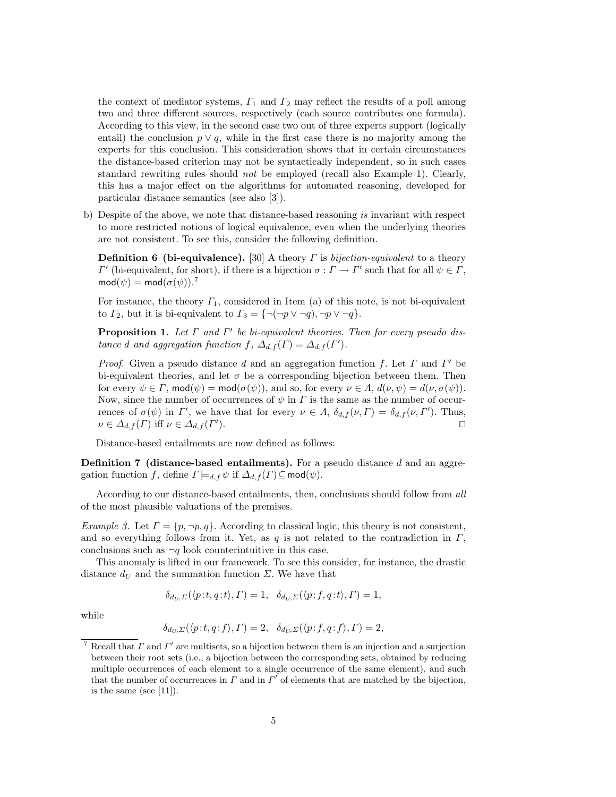the context of mediator systems,  $\Gamma_1$  and  $\Gamma_2$  may reflect the results of a poll among two and three different sources, respectively (each source contributes one formula). According to this view, in the second case two out of three experts support (logically entail) the conclusion  $p \vee q$ , while in the first case there is no majority among the experts for this conclusion. This consideration shows that in certain circumstances the distance-based criterion may not be syntactically independent, so in such cases standard rewriting rules should not be employed (recall also Example 1). Clearly, this has a major effect on the algorithms for automated reasoning, developed for particular distance semantics (see also [3]).

b) Despite of the above, we note that distance-based reasoning is invariant with respect to more restricted notions of logical equivalence, even when the underlying theories are not consistent. To see this, consider the following definition.

**Definition 6 (bi-equivalence).** [30] A theory  $\Gamma$  is bijection-equivalent to a theory  $Γ'$  (bi-equivalent, for short), if there is a bijection  $σ: Γ → Γ'$  such that for all  $ψ ∈ Γ$ ,  $mod(\psi) = mod(\sigma(\psi)).^{7}$ 

For instance, the theory  $\Gamma_1$ , considered in Item (a) of this note, is not bi-equivalent to  $\Gamma_2$ , but it is bi-equivalent to  $\Gamma_3 = \{\neg(\neg p \lor \neg q), \neg p \lor \neg q\}.$ 

**Proposition 1.** Let  $\Gamma$  and  $\Gamma'$  be bi-equivalent theories. Then for every pseudo distance d and aggregation function f,  $\Delta_{d,f}(\Gamma) = \Delta_{d,f}(\Gamma').$ 

*Proof.* Given a pseudo distance d and an aggregation function f. Let  $\Gamma$  and  $\Gamma'$  be bi-equivalent theories, and let  $\sigma$  be a corresponding bijection between them. Then for every  $\psi \in \Gamma$ , mod $(\psi)$  = mod $(\sigma(\psi))$ , and so, for every  $\nu \in \Lambda$ ,  $d(\nu, \psi) = d(\nu, \sigma(\psi))$ . Now, since the number of occurrences of  $\psi$  in  $\Gamma$  is the same as the number of occurrences of  $\sigma(\psi)$  in  $\Gamma'$ , we have that for every  $\nu \in \Lambda$ ,  $\delta_{d,f}(\nu,\Gamma) = \delta_{d,f}(\nu,\Gamma')$ . Thus,  $\nu \in \Delta_{d,f}(\Gamma)$  iff  $\nu \in \Delta_{d,f}(\Gamma')$ ).  $\qquad \qquad \Box$ 

Distance-based entailments are now defined as follows:

**Definition 7** (distance-based entailments). For a pseudo distance  $d$  and an aggregation function f, define  $\Gamma \models_{d,f} \psi$  if  $\Delta_{d,f}(\Gamma) \subseteq \text{mod}(\psi)$ .

According to our distance-based entailments, then, conclusions should follow from all of the most plausible valuations of the premises.

Example 3. Let  $\Gamma = \{p, \neg p, q\}$ . According to classical logic, this theory is not consistent, and so everything follows from it. Yet, as q is not related to the contradiction in  $\Gamma$ , conclusions such as  $\neg q$  look counterintuitive in this case.

This anomaly is lifted in our framework. To see this consider, for instance, the drastic distance  $d_U$  and the summation function  $\Sigma$ . We have that

$$
\delta_{d_U, \Sigma}(\langle p:t, q:t \rangle, \Gamma) = 1, \quad \delta_{d_U, \Sigma}(\langle p:f, q:t \rangle, \Gamma) = 1,
$$

while

$$
\delta_{d_U, \Sigma}(\langle p:t, q:f \rangle, \Gamma) = 2, \quad \delta_{d_U, \Sigma}(\langle p:f, q:f \rangle, \Gamma) = 2,
$$

<sup>&</sup>lt;sup>7</sup> Recall that  $\Gamma$  and  $\Gamma'$  are multisets, so a bijection between them is an injection and a surjection between their root sets (i.e., a bijection between the corresponding sets, obtained by reducing multiple occurrences of each element to a single occurrence of the same element), and such that the number of occurrences in  $\Gamma$  and in  $\Gamma'$  of elements that are matched by the bijection, is the same (see [11]).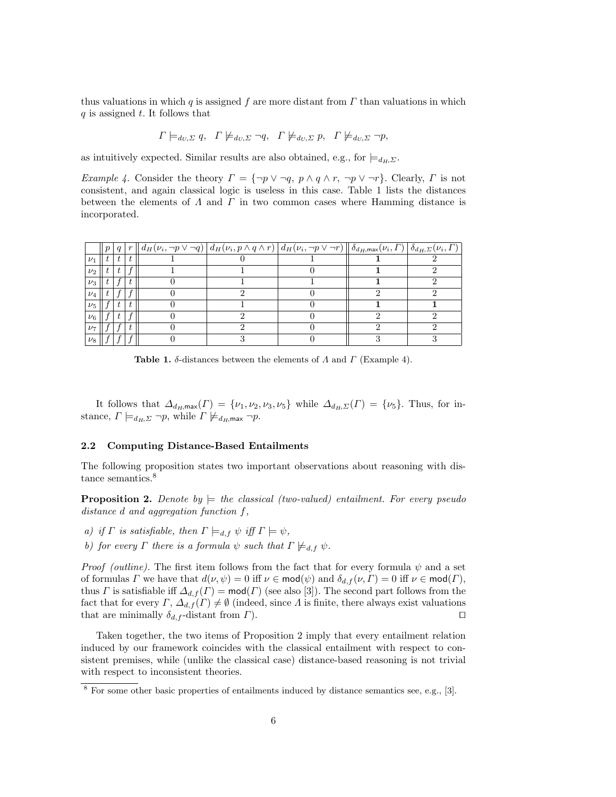thus valuations in which q is assigned f are more distant from  $\Gamma$  than valuations in which q is assigned  $t$ . It follows that

$$
\Gamma \models_{d_U, \Sigma} q, \quad \Gamma \not\models_{d_U, \Sigma} \neg q, \quad \Gamma \not\models_{d_U, \Sigma} p, \quad \Gamma \not\models_{d_U, \Sigma} \neg p,
$$

as intuitively expected. Similar results are also obtained, e.g., for  $\models_{d_H,\Sigma}$ .

Example 4. Consider the theory  $\Gamma = \{\neg p \lor \neg q, p \land q \land r, \neg p \lor \neg r\}$ . Clearly,  $\Gamma$  is not consistent, and again classical logic is useless in this case. Table 1 lists the distances between the elements of  $\Lambda$  and  $\Gamma$  in two common cases where Hamming distance is incorporated.

|         |  |  | $\boxed{r \parallel d_H(\nu_i, \neg p \vee \neg q) \parallel d_H(\nu_i, p \wedge q \wedge r) \parallel d_H(\nu_i, \neg p \vee \neg r) \parallel \delta_{d_H, \max}(\nu_i, \Gamma) \parallel \delta_{d_H, \Sigma}(\nu_i, \Gamma)}$ |  |  |
|---------|--|--|-----------------------------------------------------------------------------------------------------------------------------------------------------------------------------------------------------------------------------------|--|--|
| $\nu_1$ |  |  |                                                                                                                                                                                                                                   |  |  |
| $\nu_2$ |  |  |                                                                                                                                                                                                                                   |  |  |
| $\nu_3$ |  |  |                                                                                                                                                                                                                                   |  |  |
| $\nu_4$ |  |  |                                                                                                                                                                                                                                   |  |  |
| $\nu_5$ |  |  |                                                                                                                                                                                                                                   |  |  |
| $\nu_6$ |  |  |                                                                                                                                                                                                                                   |  |  |
| $\nu_7$ |  |  |                                                                                                                                                                                                                                   |  |  |
| $\nu_8$ |  |  |                                                                                                                                                                                                                                   |  |  |

Table 1. δ-distances between the elements of  $\Lambda$  and  $\Gamma$  (Example 4).

It follows that  $\Delta_{d_H,\text{max}}(\Gamma) = \{\nu_1,\nu_2,\nu_3,\nu_5\}$  while  $\Delta_{d_H,\Sigma}(\Gamma) = \{\nu_5\}$ . Thus, for instance,  $\Gamma \models_{d_H,\Sigma} \neg p$ , while  $\Gamma \not\models_{d_H,\max} \neg p$ .

### 2.2 Computing Distance-Based Entailments

The following proposition states two important observations about reasoning with distance semantics.<sup>8</sup>

**Proposition 2.** Denote by  $=$  the classical (two-valued) entailment. For every pseudo distance  $d$  and aggregation function  $f$ ,

- a) if  $\Gamma$  is satisfiable, then  $\Gamma \models_{d,f} \psi$  iff  $\Gamma \models \psi$ ,
- b) for every  $\Gamma$  there is a formula  $\psi$  such that  $\Gamma \not\models_{d,f} \psi$ .

*Proof (outline)*. The first item follows from the fact that for every formula  $\psi$  and a set of formulas  $\Gamma$  we have that  $d(\nu, \psi) = 0$  iff  $\nu \in \text{mod}(\psi)$  and  $\delta_{d,f}(\nu, \Gamma) = 0$  iff  $\nu \in \text{mod}(\Gamma)$ , thus Γ is satisfiable iff  $\Delta_{d,f}(\Gamma) = \text{mod}(\Gamma)$  (see also [3]). The second part follows from the fact that for every  $\Gamma$ ,  $\Delta_{d,f}(\Gamma) \neq \emptyset$  (indeed, since  $\Lambda$  is finite, there always exist valuations that are minimally  $\delta_{d,f}$ -distant from  $\Gamma$ ).

Taken together, the two items of Proposition 2 imply that every entailment relation induced by our framework coincides with the classical entailment with respect to consistent premises, while (unlike the classical case) distance-based reasoning is not trivial with respect to inconsistent theories.

<sup>&</sup>lt;sup>8</sup> For some other basic properties of entailments induced by distance semantics see, e.g., [3].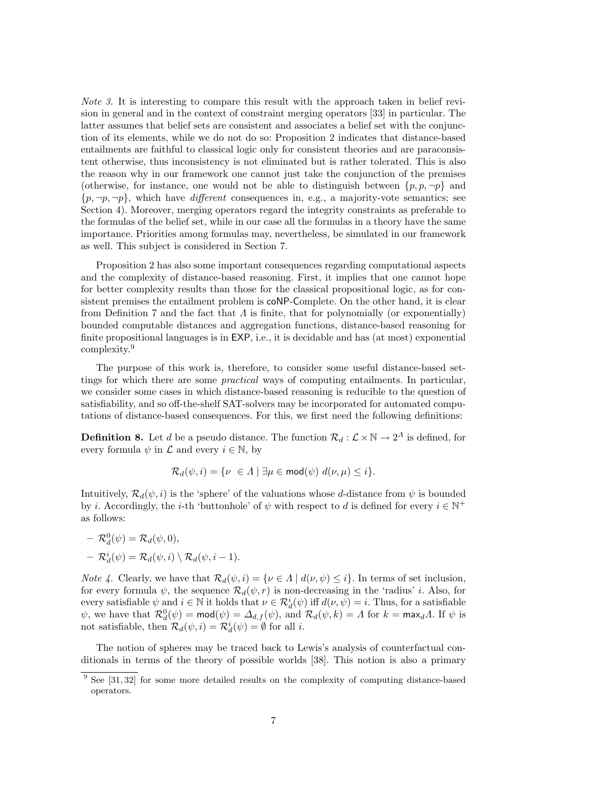Note 3. It is interesting to compare this result with the approach taken in belief revision in general and in the context of constraint merging operators [33] in particular. The latter assumes that belief sets are consistent and associates a belief set with the conjunction of its elements, while we do not do so: Proposition 2 indicates that distance-based entailments are faithful to classical logic only for consistent theories and are paraconsistent otherwise, thus inconsistency is not eliminated but is rather tolerated. This is also the reason why in our framework one cannot just take the conjunction of the premises (otherwise, for instance, one would not be able to distinguish between  $\{p, p, \neg p\}$  and  $\{p, \neg p, \neg p\}$ , which have *different* consequences in, e.g., a majority-vote semantics; see Section 4). Moreover, merging operators regard the integrity constraints as preferable to the formulas of the belief set, while in our case all the formulas in a theory have the same importance. Priorities among formulas may, nevertheless, be simulated in our framework as well. This subject is considered in Section 7.

Proposition 2 has also some important consequences regarding computational aspects and the complexity of distance-based reasoning. First, it implies that one cannot hope for better complexity results than those for the classical propositional logic, as for consistent premises the entailment problem is coNP-Complete. On the other hand, it is clear from Definition 7 and the fact that  $\Lambda$  is finite, that for polynomially (or exponentially) bounded computable distances and aggregation functions, distance-based reasoning for finite propositional languages is in EXP, i.e., it is decidable and has (at most) exponential complexity.<sup>9</sup>

The purpose of this work is, therefore, to consider some useful distance-based settings for which there are some practical ways of computing entailments. In particular, we consider some cases in which distance-based reasoning is reducible to the question of satisfiability, and so off-the-shelf SAT-solvers may be incorporated for automated computations of distance-based consequences. For this, we first need the following definitions:

**Definition 8.** Let d be a pseudo distance. The function  $\mathcal{R}_d : \mathcal{L} \times \mathbb{N} \to 2^{\Lambda}$  is defined, for every formula  $\psi$  in  $\mathcal L$  and every  $i \in \mathbb N$ , by

$$
\mathcal{R}_d(\psi, i) = \{ \nu \in \Lambda \mid \exists \mu \in \mathsf{mod}(\psi) \ d(\nu, \mu) \leq i \}.
$$

Intuitively,  $\mathcal{R}_d(\psi, i)$  is the 'sphere' of the valuations whose d-distance from  $\psi$  is bounded by *i*. Accordingly, the *i*-th 'buttonhole' of  $\psi$  with respect to *d* is defined for every  $i \in \mathbb{N}^+$ as follows:

$$
- \mathcal{R}_d^0(\psi) = \mathcal{R}_d(\psi, 0),
$$
  

$$
- \mathcal{R}_d^i(\psi) = \mathcal{R}_d(\psi, i) \setminus \mathcal{R}_d(\psi, i - 1).
$$

*Note 4.* Clearly, we have that  $\mathcal{R}_d(\psi, i) = \{ \nu \in \Lambda \mid d(\nu, \psi) \leq i \}.$  In terms of set inclusion, for every formula  $\psi$ , the sequence  $\mathcal{R}_d(\psi, r)$  is non-decreasing in the 'radius' *i*. Also, for every satisfiable  $\psi$  and  $i \in \mathbb{N}$  it holds that  $\nu \in \mathcal{R}^i_d(\psi)$  iff  $d(\nu, \psi) = i$ . Thus, for a satisfiable  $\psi$ , we have that  $\mathcal{R}_d^0(\psi) = \text{mod}(\psi) = \Delta_{d,f}(\psi)$ , and  $\mathcal{R}_d(\psi, k) = \Lambda$  for  $k = \text{max}_d \Lambda$ . If  $\psi$  is not satisfiable, then  $\mathcal{R}_d(\psi, i) = \mathcal{R}_d^i(\psi) = \emptyset$  for all *i*.

The notion of spheres may be traced back to Lewis's analysis of counterfactual conditionals in terms of the theory of possible worlds [38]. This notion is also a primary

<sup>&</sup>lt;sup>9</sup> See [31, 32] for some more detailed results on the complexity of computing distance-based operators.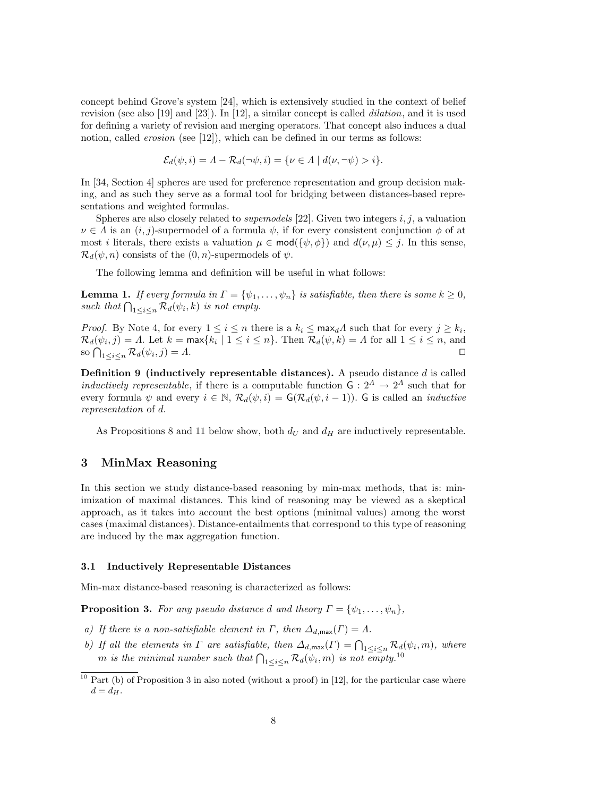concept behind Grove's system [24], which is extensively studied in the context of belief revision (see also [19] and [23]). In [12], a similar concept is called dilation, and it is used for defining a variety of revision and merging operators. That concept also induces a dual notion, called *erosion* (see [12]), which can be defined in our terms as follows:

$$
\mathcal{E}_d(\psi, i) = \Lambda - \mathcal{R}_d(\neg \psi, i) = \{ \nu \in \Lambda \mid d(\nu, \neg \psi) > i \}.
$$

In [34, Section 4] spheres are used for preference representation and group decision making, and as such they serve as a formal tool for bridging between distances-based representations and weighted formulas.

Spheres are also closely related to *supemodels* [22]. Given two integers  $i, j$ , a valuation  $\nu \in \Lambda$  is an  $(i, j)$ -supermodel of a formula  $\psi$ , if for every consistent conjunction  $\phi$  of at most *i* literals, there exists a valuation  $\mu \in \text{mod}(\{\psi, \phi\})$  and  $d(\nu, \mu) \leq j$ . In this sense,  $\mathcal{R}_d(\psi, n)$  consists of the  $(0, n)$ -supermodels of  $\psi$ .

The following lemma and definition will be useful in what follows:

**Lemma 1.** If every formula in  $\Gamma = {\psi_1, \ldots, \psi_n}$  is satisfiable, then there is some  $k \geq 0$ , such that  $\bigcap_{1 \leq i \leq n} \mathcal{R}_d(\psi_i, k)$  is not empty.

*Proof.* By Note 4, for every  $1 \leq i \leq n$  there is a  $k_i \leq \max_d \Lambda$  such that for every  $j \geq k_i$ ,  $\mathcal{R}_d(\psi_i, j) = \Lambda.$  Let  $k = \max\{k_i \mid 1 \leq i \leq n\}$ . Then  $\mathcal{R}_d(\psi, k) = \Lambda$  for all  $1 \leq i \leq n$ , and so  $\bigcap_{1 \leq i \leq n} \mathcal{R}_d(\psi_i, j) = \Lambda.$ 

Definition 9 (inductively representable distances). A pseudo distance d is called *inductively representable*, if there is a computable function  $G: 2^A \rightarrow 2^A$  such that for every formula  $\psi$  and every  $i \in \mathbb{N}$ ,  $\mathcal{R}_d(\psi, i) = \mathsf{G}(\mathcal{R}_d(\psi, i - 1))$ . G is called an *inductive* representation of d.

As Propositions 8 and 11 below show, both  $d_U$  and  $d_H$  are inductively representable.

# 3 MinMax Reasoning

In this section we study distance-based reasoning by min-max methods, that is: minimization of maximal distances. This kind of reasoning may be viewed as a skeptical approach, as it takes into account the best options (minimal values) among the worst cases (maximal distances). Distance-entailments that correspond to this type of reasoning are induced by the max aggregation function.

#### 3.1 Inductively Representable Distances

Min-max distance-based reasoning is characterized as follows:

**Proposition 3.** For any pseudo distance d and theory  $\Gamma = {\psi_1, \ldots, \psi_n}$ ,

- a) If there is a non-satisfiable element in  $\Gamma$ , then  $\Delta_{d,\max}(\Gamma) = \Lambda$ .
- b) If all the elements in  $\Gamma$  are satisfiable, then  $\Delta_{d,\max}(\Gamma) = \bigcap_{1 \leq i \leq n} \mathcal{R}_d(\psi_i,m)$ , where m is the minimal number such that  $\bigcap_{1 \leq i \leq n} \mathcal{R}_d(\psi_i, m)$  is not empty.<sup>10</sup>

 $\frac{10}{10}$  Part (b) of Proposition 3 in also noted (without a proof) in [12], for the particular case where  $d = d_H.$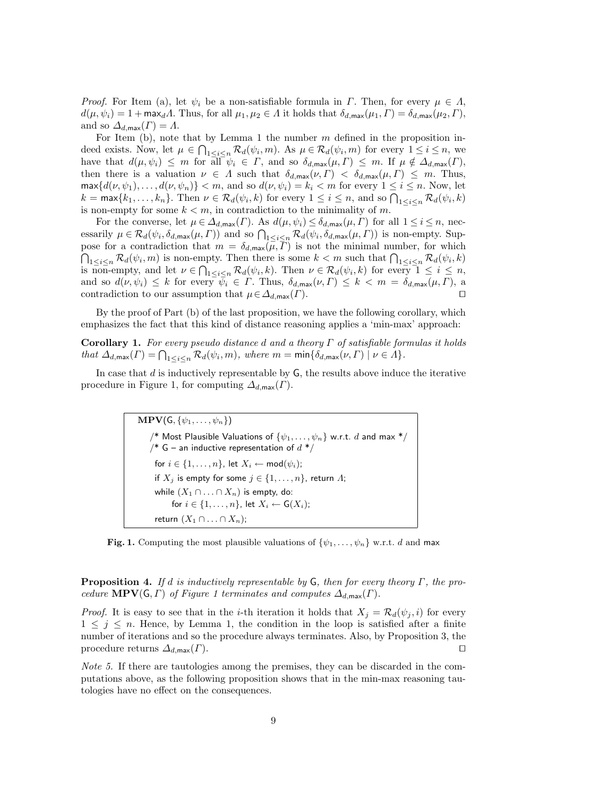*Proof.* For Item (a), let  $\psi_i$  be a non-satisfiable formula in Γ. Then, for every  $\mu \in \Lambda$ ,  $d(\mu, \psi_i) = 1 + \max_d \Lambda$ . Thus, for all  $\mu_1, \mu_2 \in \Lambda$  it holds that  $\delta_{d,\max}(\mu_1, \Gamma) = \delta_{d,\max}(\mu_2, \Gamma)$ , and so  $\Delta_{d,\max}(\Gamma) = \Lambda$ .

For Item (b), note that by Lemma 1 the number  $m$  defined in the proposition indeed exists. Now, let  $\mu \in \bigcap_{1 \leq i \leq n} \mathcal{R}_d(\psi_i, m)$ . As  $\mu \in \mathcal{R}_d(\psi_i, m)$  for every  $1 \leq i \leq n$ , we have that  $d(\mu, \psi_i) \leq m$  for all  $\psi_i \in \Gamma$ , and so  $\delta_{d, \max}(\mu, \Gamma) \leq m$ . If  $\mu \notin \Delta_{d, \max}(\Gamma)$ , then there is a valuation  $\nu \in \Lambda$  such that  $\delta_{d,\max}(\nu,\Gamma) < \delta_{d,\max}(\mu,\Gamma) \leq m$ . Thus,  $\max\{d(\nu,\psi_1),\ldots,d(\nu,\psi_n)\} < m$ , and so  $d(\nu,\psi_i) = k_i < m$  for every  $1 \leq i \leq n$ . Now, let  $k = \max\{k_1,\ldots,k_n\}$ . Then  $\nu \in \mathcal{R}_d(\psi_i,k)$  for every  $1 \leq i \leq n$ , and so  $\bigcap_{1 \leq i \leq n} \mathcal{R}_d(\psi_i,k)$ is non-empty for some  $k < m$ , in contradiction to the minimality of m.

For the converse, let  $\mu \in \Delta_{d,\max}(T)$ . As  $d(\mu, \psi_i) \leq \delta_{d,\max}(\mu, T)$  for all  $1 \leq i \leq n$ , necessarily  $\mu \in \mathcal{R}_d(\psi_i, \delta_{d, \max}(\mu, \Gamma))$  and so  $\bigcap_{1 \leq i \leq n} \mathcal{R}_d(\psi_i, \delta_{d, \max}(\mu, \Gamma))$  is non-empty. Suppose for a contradiction that  $m = \delta_{d,\max}(\overline{\mu}, \overline{\Gamma})$  is not the minimal number, for which  $\bigcap_{1 \leq i \leq n} \mathcal{R}_d(\psi_i, m)$  is non-empty. Then there is some  $k < m$  such that  $\bigcap_{1 \leq i \leq n} \mathcal{R}_d(\psi_i, k)$ is non-empty, and let  $\nu \in \bigcap_{1 \leq i \leq n} \mathcal{R}_d(\psi_i, k)$ . Then  $\nu \in \mathcal{R}_d(\psi_i, k)$  for every  $1 \leq i \leq n$ , and so  $d(\nu, \psi_i) \leq k$  for every  $\overline{\psi_i} \in \Gamma$ . Thus,  $\delta_{d, \max}(\nu, \Gamma) \leq k < m = \delta_{d, \max}(\mu, \Gamma)$ , a contradiction to our assumption that  $\mu \in \Delta_{d,\max}(\Gamma)$ .

By the proof of Part (b) of the last proposition, we have the following corollary, which emphasizes the fact that this kind of distance reasoning applies a 'min-max' approach:

Corollary 1. For every pseudo distance d and a theory Γ of satisfiable formulas it holds that  $\Delta_{d,\max}(\Gamma) = \bigcap_{1 \leq i \leq n} \mathcal{R}_d(\psi_i, m)$ , where  $m = \min{\{\delta_{d,\max}(\nu, \Gamma) \mid \nu \in \Lambda\}}$ .

In case that  $d$  is inductively representable by  $\mathsf{G}$ , the results above induce the iterative procedure in Figure 1, for computing  $\Delta_{d,\max}(\Gamma)$ .

> $\textbf{MPV}(\mathsf{G}, \{\psi_1, \ldots, \psi_n\})$ /\* Most Plausible Valuations of  $\{\psi_1,\ldots,\psi_n\}$  w.r.t.  $d$  and max  $^*/$ /\* G – an inductive representation of  $d$  \*/ for  $i \in \{1, \ldots, n\}$ , let  $X_i \leftarrow \text{mod}(\psi_i)$ ; if  $X_j$  is empty for some  $j \in \{1, \ldots, n\}$ , return  $\Lambda$ ; while  $(X_1 \cap ... \cap X_n)$  is empty, do: for  $i \in \{1, \ldots, n\}$ , let  $X_i \leftarrow G(X_i)$ ; return  $(X_1 \cap \ldots \cap X_n)$ ;

Fig. 1. Computing the most plausible valuations of  $\{\psi_1, \ldots, \psi_n\}$  w.r.t. d and max

**Proposition 4.** If d is inductively representable by  $\mathsf{G}$ , then for every theory  $\Gamma$ , the procedure **MPV(G, Γ)** of Figure 1 terminates and computes  $\Delta_{d,\text{max}}(\Gamma)$ .

*Proof.* It is easy to see that in the *i*-th iteration it holds that  $X_i = \mathcal{R}_d(\psi_i, i)$  for every  $1 \leq j \leq n$ . Hence, by Lemma 1, the condition in the loop is satisfied after a finite number of iterations and so the procedure always terminates. Also, by Proposition 3, the procedure returns  $\Delta_{d,\max}(\Gamma)$ .

Note 5. If there are tautologies among the premises, they can be discarded in the computations above, as the following proposition shows that in the min-max reasoning tautologies have no effect on the consequences.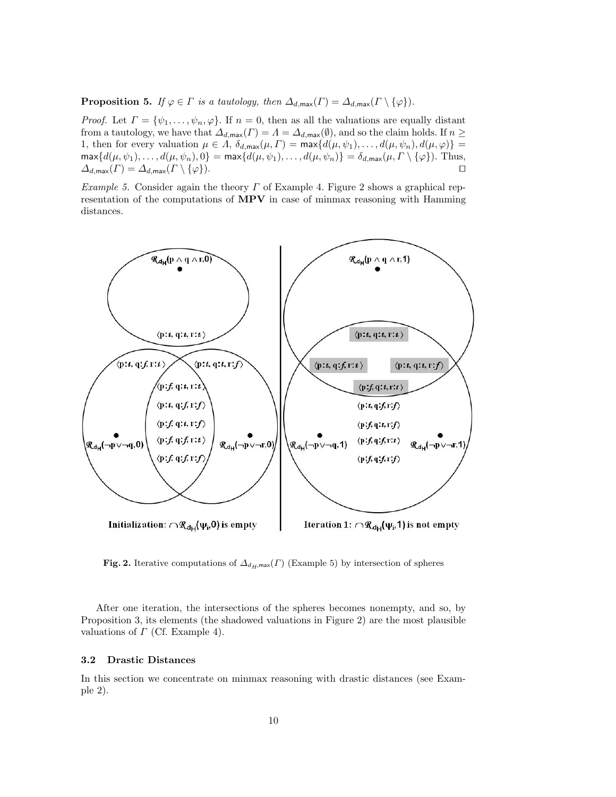**Proposition 5.** If  $\varphi \in \Gamma$  is a tautology, then  $\Delta_{d,\max}(\Gamma) = \Delta_{d,\max}(\Gamma \setminus \{\varphi\}).$ 

*Proof.* Let  $\Gamma = {\psi_1, \ldots, \psi_n, \varphi}$ . If  $n = 0$ , then as all the valuations are equally distant from a tautology, we have that  $\Delta_{d,\max}(\Gamma) = \Lambda = \Delta_{d,\max}(\emptyset)$ , and so the claim holds. If  $n \geq$ 1, then for every valuation  $\mu \in \Lambda$ ,  $\delta_{d,\max}(\mu, \Gamma) = \max\{d(\mu, \psi_1), \ldots, d(\mu, \psi_n), d(\mu, \varphi)\}$  $\max\{d(\mu,\psi_1),\ldots,d(\mu,\psi_n),0\}=\max\{d(\mu,\psi_1),\ldots,d(\mu,\psi_n)\}=\delta_{d,\max}(\mu,\Gamma\setminus\{\varphi\}).$  Thus,  $\Delta_{d,\max}(\Gamma) = \Delta_{d,\max}(\Gamma \setminus {\{\varphi\}}).$ 

Example 5. Consider again the theory  $\Gamma$  of Example 4. Figure 2 shows a graphical representation of the computations of MPV in case of minmax reasoning with Hamming distances.



Fig. 2. Iterative computations of  $\Delta_{d_H, \text{max}}(\Gamma)$  (Example 5) by intersection of spheres

After one iteration, the intersections of the spheres becomes nonempty, and so, by Proposition 3, its elements (the shadowed valuations in Figure 2) are the most plausible valuations of  $\Gamma$  (Cf. Example 4).

## 3.2 Drastic Distances

In this section we concentrate on minmax reasoning with drastic distances (see Example 2).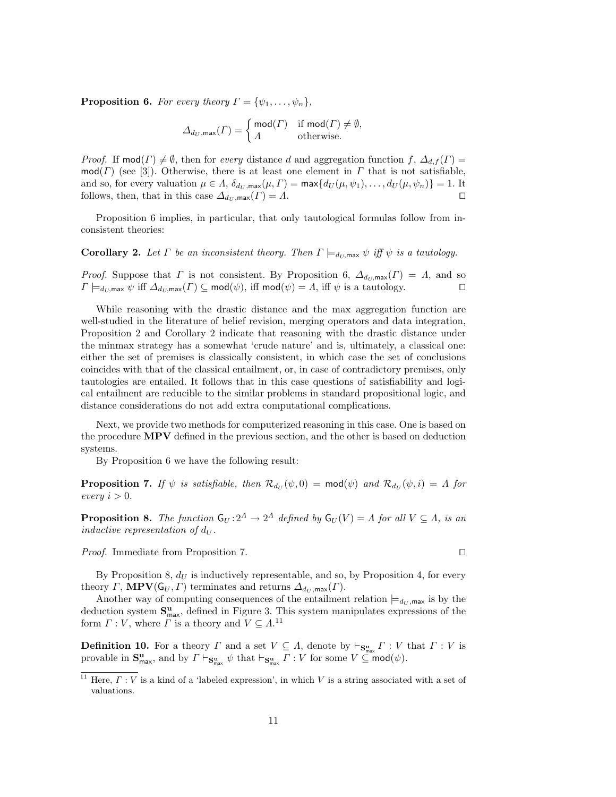**Proposition 6.** For every theory  $\Gamma = {\psi_1, \ldots, \psi_n},$ 

$$
\Delta_{d_U, \max}(\Gamma) = \begin{cases} \text{mod}(\Gamma) & \text{if } \text{mod}(\Gamma) \neq \emptyset, \\ \Lambda & \text{otherwise.} \end{cases}
$$

*Proof.* If mod( $\Gamma$ )  $\neq \emptyset$ , then for every distance d and aggregation function f,  $\Delta_{d,f}(\Gamma)$  =  $mod(\Gamma)$  (see [3]). Otherwise, there is at least one element in  $\Gamma$  that is not satisfiable, and so, for every valuation  $\mu \in \Lambda$ ,  $\delta_{d_U, \max}(\mu, \Gamma) = \max\{d_U(\mu, \psi_1), \ldots, d_U(\mu, \psi_n)\} = 1$ . It follows, then, that in this case  $\Delta_{d_U, \max}(\Gamma) = \Lambda$ .

Proposition 6 implies, in particular, that only tautological formulas follow from inconsistent theories:

**Corollary 2.** Let  $\Gamma$  be an inconsistent theory. Then  $\Gamma \models_{d_U, \text{max}} \psi$  iff  $\psi$  is a tautology.

*Proof.* Suppose that  $\Gamma$  is not consistent. By Proposition 6,  $\Delta_{d_U, \text{max}}(\Gamma) = \Lambda$ , and so  $\Gamma \models_{d_U, \max} \psi$  iff  $\Delta_{d_U, \max}(\Gamma) \subseteq \text{mod}(\psi)$ , iff  $\text{mod}(\psi) = \Lambda$ , iff  $\psi$  is a tautology.

While reasoning with the drastic distance and the max aggregation function are well-studied in the literature of belief revision, merging operators and data integration, Proposition 2 and Corollary 2 indicate that reasoning with the drastic distance under the minmax strategy has a somewhat 'crude nature' and is, ultimately, a classical one: either the set of premises is classically consistent, in which case the set of conclusions coincides with that of the classical entailment, or, in case of contradictory premises, only tautologies are entailed. It follows that in this case questions of satisfiability and logical entailment are reducible to the similar problems in standard propositional logic, and distance considerations do not add extra computational complications.

Next, we provide two methods for computerized reasoning in this case. One is based on the procedure MPV defined in the previous section, and the other is based on deduction systems.

By Proposition 6 we have the following result:

**Proposition 7.** If  $\psi$  is satisfiable, then  $\mathcal{R}_{d_U}(\psi, 0) = \text{mod}(\psi)$  and  $\mathcal{R}_{d_U}(\psi, i) = \Lambda$  for every  $i > 0$ .

**Proposition 8.** The function  $G_U : 2^{\Lambda} \to 2^{\Lambda}$  defined by  $G_U(V) = \Lambda$  for all  $V \subseteq \Lambda$ , is an inductive representation of  $d_U$ .

*Proof.* Immediate from Proposition 7.  $\Box$ 

By Proposition 8,  $d_U$  is inductively representable, and so, by Proposition 4, for every theory  $\Gamma$ , MPV( $\mathsf{G}_U, \Gamma$ ) terminates and returns  $\Delta_{d_U, \max}(\Gamma)$ .

Another way of computing consequences of the entailment relation  $\models_{d_U, \text{max}}$  is by the deduction system  $S_{\text{max}}^u$ , defined in Figure 3. This system manipulates expressions of the form  $\Gamma: V$ , where  $\Gamma$  is a theory and  $V \subseteq \Lambda$ .<sup>11</sup>

**Definition 10.** For a theory  $\Gamma$  and a set  $V \subseteq \Lambda$ , denote by  $\vdash_{\mathbf{S}_{\max}^{\mathbf{u}}} \Gamma : V$  that  $\Gamma : V$  is provable in  $\mathbf{S}_{\text{max}}^{\mathbf{u}}$ , and by  $\Gamma \vdash_{\mathbf{S}_{\text{max}}^{\mathbf{u}}} \psi$  that  $\vdash_{\mathbf{S}_{\text{max}}^{\mathbf{u}}} \Gamma : V$  for some  $V \subseteq \text{mod}(\psi)$ .

 $\overline{^{11}$  Here,  $\Gamma : V$  is a kind of a 'labeled expression', in which V is a string associated with a set of valuations.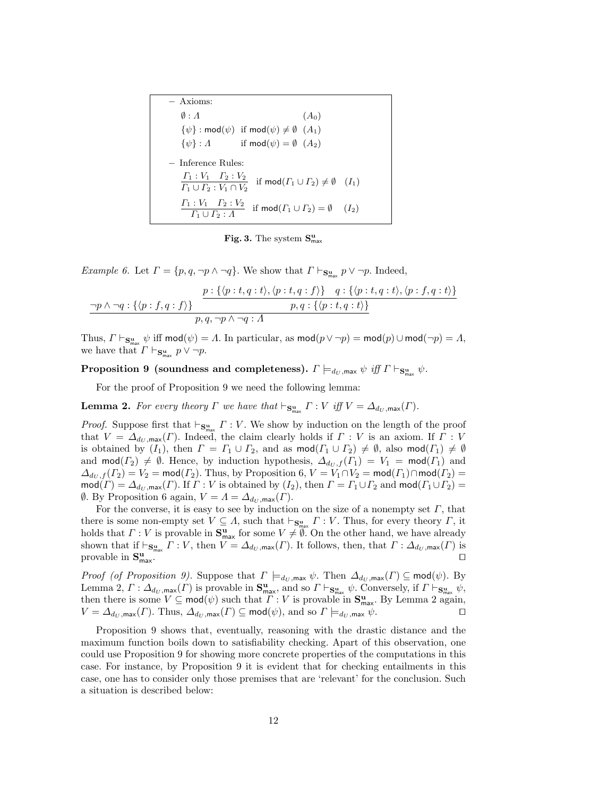| $-$ Axioms                                                                                                                                             |  |  |  |  |  |  |  |
|--------------------------------------------------------------------------------------------------------------------------------------------------------|--|--|--|--|--|--|--|
| $\emptyset$ : $\Lambda$<br>$(A_0)$                                                                                                                     |  |  |  |  |  |  |  |
| $\{\psi\}$ : mod $(\psi)$ if mod $(\psi) \neq \emptyset$ $(A_1)$                                                                                       |  |  |  |  |  |  |  |
| $\{\psi\}: \Lambda$ if mod $(\psi) = \emptyset$ $(A_2)$                                                                                                |  |  |  |  |  |  |  |
| $-$ Inference Rules:                                                                                                                                   |  |  |  |  |  |  |  |
| $\frac{\Gamma_1 : V_1 \quad \Gamma_2 : V_2}{\Gamma_1 \cup \Gamma_2 : V_1 \cap V_2}$<br>if $mod(\Gamma_1 \cup \Gamma_2) \neq \emptyset$ ( $I_1$ )       |  |  |  |  |  |  |  |
| $\frac{\Gamma_1 : V_1 \quad \Gamma_2 : V_2}{\Gamma_1 \cup \Gamma_2 : \Lambda}$ if mod $(\Gamma_1 \cup \Gamma_2) = \emptyset$ ( <i>I</i> <sub>2</sub> ) |  |  |  |  |  |  |  |

Fig. 3. The system  $S_{\text{max}}^{\text{u}}$ 

*Example 6.* Let  $\Gamma = \{p, q, \neg p \land \neg q\}$ . We show that  $\Gamma \vdash_{\mathbf{S}^{\mathbf{u}}_{\text{max}}} p \lor \neg p$ . Indeed,

$$
\frac{p : \{\langle p : t, q : t \rangle, \langle p : t, q : f \rangle\} \qquad q : \{\langle p : t, q : t \rangle, \langle p : f, q : t \rangle\}}{p, q, \neg p \land \neg q : \{\langle p : t, q : t \rangle\}}}
$$

Thus,  $\Gamma \vdash_{\mathbf{S}_{\max}^u} \psi$  iff  $\mathsf{mod}(\psi) = \Lambda$ . In particular, as  $\mathsf{mod}(p \vee \neg p) = \mathsf{mod}(p) \cup \mathsf{mod}(\neg p) = \Lambda$ , we have that  $\Gamma \vdash_{\mathbf{S}^{\mathbf{u}}_{\text{max}}} p \lor \neg p$ .

 $\bf{Proposition~9} \ \ (soundness~and~completeness). \ \ \Gamma \models_{d_U, \sf max} \psi \ {\it iff} \ \Gamma \vdash_{\mathbf{S}_{\sf max}^{\bf u}} \psi.$ 

For the proof of Proposition 9 we need the following lemma:

**Lemma 2.** For every theory  $\Gamma$  we have that  $\vdash_{\mathbf{S}_{\text{max}}^{\text{u}}} \Gamma : V$  iff  $V = \Delta_{d_U, \text{max}}(\Gamma)$ .

*Proof.* Suppose first that  $\vdash_{\mathbf{S}_{\text{max}}^u} \Gamma : V$ . We show by induction on the length of the proof that  $V = \Delta_{d_U, \text{max}}(\Gamma)$ . Indeed, the claim clearly holds if  $\Gamma : V$  is an axiom. If  $\Gamma : V$ is obtained by  $(I_1)$ , then  $\Gamma = \Gamma_1 \cup \Gamma_2$ , and as  $\text{mod}(\Gamma_1 \cup \Gamma_2) \neq \emptyset$ , also  $\text{mod}(\Gamma_1) \neq \emptyset$ and  $\text{mod}(\Gamma_2) \neq \emptyset$ . Hence, by induction hypothesis,  $\Delta_{d_U, f}(\Gamma_1) = V_1 = \text{mod}(\Gamma_1)$  and  $\Delta_{d_U, f}(\Gamma_2) = V_2 = \text{mod}(\Gamma_2)$ . Thus, by Proposition 6,  $V = V_1 \cap V_2 = \text{mod}(\Gamma_1) \cap \text{mod}(\Gamma_2)$  $mod(\Gamma) = \Delta_{d_U, max}(\Gamma)$ . If  $\Gamma : V$  is obtained by  $(I_2)$ , then  $\Gamma = \Gamma_1 \cup \Gamma_2$  and  $mod(\Gamma_1 \cup \Gamma_2)$  $\emptyset$ . By Proposition 6 again,  $V = \Lambda = \Delta_{d_U, \text{max}}(\Gamma)$ .

For the converse, it is easy to see by induction on the size of a nonempty set  $\Gamma$ , that there is some non-empty set  $V \subseteq A$ , such that  $\vdash_{\mathbf{S}^{\mathbf{u}}_{\text{max}}} \Gamma : V$ . Thus, for every theory  $\Gamma$ , it holds that  $\Gamma: V$  is provable in  $\mathbf{S}_{\text{max}}^{\mathbf{u}}$  for some  $V \neq \emptyset$ . On the other hand, we have already shown that if  $\vdash_{\mathbf{S}_{\text{max}}^{\text{u}}} \Gamma : V$ , then  $V = \Delta_{d_U, \text{max}}(\Gamma)$ . It follows, then, that  $\Gamma : \Delta_{d_U, \text{max}}(\Gamma)$  is provable in  $S_m^{\mathbf{u}}$  $\Box$ max.  $\Box$ 

*Proof (of Proposition 9)*. Suppose that  $\Gamma \models_{d_U, \text{max}} \psi$ . Then  $\Delta_{d_U, \text{max}}(\Gamma) \subseteq \text{mod}(\psi)$ . By Lemma 2,  $\Gamma: \Delta_{d_U, \max}(\Gamma)$  is provable in  $\mathbf{S}_{\max}^{\mathbf{u}}$ , and so  $\Gamma \vdash_{\mathbf{S}_{\max}^{\mathbf{u}}} \psi$ . Conversely, if  $\Gamma \vdash_{\mathbf{S}_{\max}^{\mathbf{u}}} \psi$ , then there is some  $V \subseteq \text{mod}(\psi)$  such that  $\Gamma : V$  is provable in  $\mathbf{S}_{\text{max}}^{\text{u}}$ . By Lemma 2 again,  $V = \Delta_{d_U, \text{max}}(\Gamma)$ . Thus,  $\Delta_{d_U, \text{max}}(\Gamma) \subseteq \text{mod}(\psi)$ , and so  $\Gamma \models_{d_U, \text{max}} \psi$ .

Proposition 9 shows that, eventually, reasoning with the drastic distance and the maximum function boils down to satisfiability checking. Apart of this observation, one could use Proposition 9 for showing more concrete properties of the computations in this case. For instance, by Proposition 9 it is evident that for checking entailments in this case, one has to consider only those premises that are 'relevant' for the conclusion. Such a situation is described below: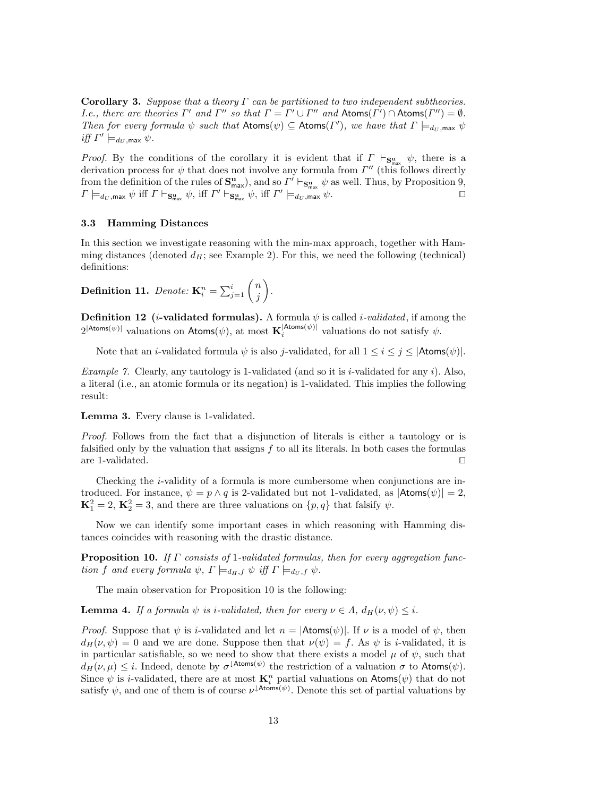Corollary 3. Suppose that a theory  $\Gamma$  can be partitioned to two independent subtheories. *I.e., there are theories*  $\Gamma'$  and  $\Gamma''$  so that  $\Gamma = \Gamma' \cup \Gamma''$  and  $\text{Atoms}(\Gamma') \cap \text{Atoms}(\Gamma'') = \emptyset$ . Then for every formula  $\psi$  such that  $\mathsf{Atoms}(\psi) \subseteq \mathsf{Atoms}(\Gamma')$ , we have that  $\Gamma \models_{d_U, \text{max}} \psi$ iff  $\varGamma'\models_{d_U, \text{max}} \psi.$ 

*Proof.* By the conditions of the corollary it is evident that if  $\Gamma \vdash_{S^u_{max}} \psi$ , there is a derivation process for  $\psi$  that does not involve any formula from  $\Gamma''$  (this follows directly from the definition of the rules of  $\mathbf{S}_{\text{max}}^{\mathbf{u}}$ ), and so  $\Gamma' \vdash_{\mathbf{S}_{\text{max}}^{\mathbf{u}}} \psi$  as well. Thus, by Proposition 9,  $\Gamma \models_{d_U, \text{max}} \psi \text{ iff } \Gamma \vdash_{\mathbf{S}_{\text{max}}^{\text{u}}} \psi \text{, iff } \Gamma' \models_{\mathbf{S}_{\text{max}}^{\text{u}}} \psi \text{, iff } \Gamma' \models_{d_U, \text{max}} \psi.$ 

## 3.3 Hamming Distances

In this section we investigate reasoning with the min-max approach, together with Hamming distances (denoted  $d_H$ ; see Example 2). For this, we need the following (technical) definitions:

**Definition 11.** Denote: 
$$
\mathbf{K}_i^n = \sum_{j=1}^i \binom{n}{j}
$$
.

**Definition 12** (*i*-validated formulas). A formula  $\psi$  is called *i-validated*, if among the 2<sup>|Atoms( $\psi$ )|</sup> valuations on Atoms( $\psi$ ), at most  $\mathbf{K}_i^{|\text{Atoms}(\psi)|}$  valuations do not satisfy  $\psi$ .

Note that an *i*-validated formula  $\psi$  is also *j*-validated, for all  $1 \le i \le j \le |\text{Atoms}(\psi)|$ .

*Example 7.* Clearly, any tautology is 1-validated (and so it is *i*-validated for any *i*). Also, a literal (i.e., an atomic formula or its negation) is 1-validated. This implies the following result:

Lemma 3. Every clause is 1-validated.

Proof. Follows from the fact that a disjunction of literals is either a tautology or is falsified only by the valuation that assigns  $f$  to all its literals. In both cases the formulas are 1-validated.  $\Box$ 

Checking the  $i$ -validity of a formula is more cumbersome when conjunctions are introduced. For instance,  $\psi = p \wedge q$  is 2-validated but not 1-validated, as  $|$ Atoms $(\psi)| = 2$ ,  $\mathbf{K}_1^2 = 2, \mathbf{K}_2^2 = 3$ , and there are three valuations on  $\{p, q\}$  that falsify  $\psi$ .

Now we can identify some important cases in which reasoning with Hamming distances coincides with reasoning with the drastic distance.

**Proposition 10.** If  $\Gamma$  consists of 1-validated formulas, then for every aggregation function f and every formula  $\psi$ ,  $\Gamma \models_{d_H,f} \psi$  iff  $\Gamma \models_{d_U,f} \psi$ .

The main observation for Proposition 10 is the following:

**Lemma 4.** If a formula  $\psi$  is *i*-validated, then for every  $\nu \in \Lambda$ ,  $d_H(\nu, \psi) \leq i$ .

*Proof.* Suppose that  $\psi$  is *i*-validated and let  $n = | \text{Atoms}(\psi)|$ . If  $\nu$  is a model of  $\psi$ , then  $d_H(\nu, \psi) = 0$  and we are done. Suppose then that  $\nu(\psi) = f$ . As  $\psi$  is *i*-validated, it is in particular satisfiable, so we need to show that there exists a model  $\mu$  of  $\psi$ , such that  $d_H(\nu,\mu) \leq i$ . Indeed, denote by  $\sigma^{\downarrow \text{Atoms}(\psi)}$  the restriction of a valuation  $\sigma$  to  $\text{Atoms}(\psi)$ . Since  $\psi$  is *i*-validated, there are at most  $\mathbf{K}_i^n$  partial valuations on Atoms( $\psi$ ) that do not satisfy  $\psi$ , and one of them is of course  $\nu^{\downarrow \text{Atoms}(\psi)}$ . Denote this set of partial valuations by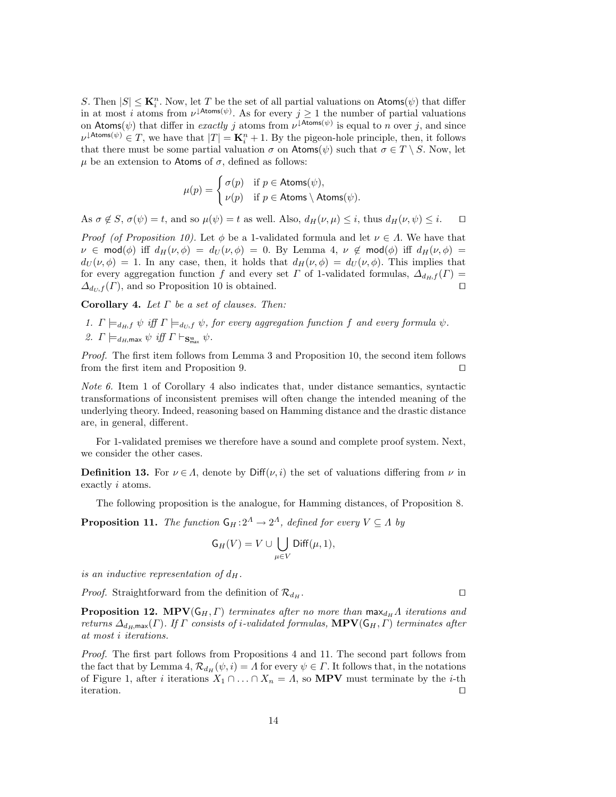S. Then  $|S| \leq \mathbf{K}_i^n$ . Now, let T be the set of all partial valuations on  $\mathsf{Atoms}(\psi)$  that differ in at most i atoms from  $\nu^{\downarrow \text{Atoms}(\psi)}$ . As for every  $j \geq 1$  the number of partial valuations on Atoms( $\psi$ ) that differ in *exactly* j atoms from  $\nu^{\downarrow \text{Atoms}(\psi)}$  is equal to n over j, and since  $\nu^{\downarrow \text{Atoms}(\psi)} \in T$ , we have that  $|T| = \mathbf{K}_i^n + 1$ . By the pigeon-hole principle, then, it follows that there must be some partial valuation  $\sigma$  on  $\mathsf{Atoms}(\psi)$  such that  $\sigma \in T \setminus S$ . Now, let  $\mu$  be an extension to Atoms of  $\sigma$ , defined as follows:

$$
\mu(p) = \begin{cases} \sigma(p) & \text{if } p \in \text{Atoms}(\psi), \\ \nu(p) & \text{if } p \in \text{Atoms} \setminus \text{Atoms}(\psi). \end{cases}
$$

As  $\sigma \notin S$ ,  $\sigma(\psi) = t$ , and so  $\mu(\psi) = t$  as well. Also,  $d_H(\nu, \mu) \leq i$ , thus  $d_H(\nu, \psi) \leq i$ .  $\Box$ 

*Proof (of Proposition 10).* Let  $\phi$  be a 1-validated formula and let  $\nu \in \Lambda$ . We have that  $\nu \in \text{mod}(\phi)$  iff  $d_H(\nu, \phi) = d_U(\nu, \phi) = 0$ . By Lemma 4,  $\nu \notin \text{mod}(\phi)$  iff  $d_H(\nu, \phi) =$  $d_U(\nu, \phi) = 1$ . In any case, then, it holds that  $d_H(\nu, \phi) = d_U(\nu, \phi)$ . This implies that for every aggregation function f and every set Γ of 1-validated formulas,  $\Delta_{d_H,f}(\Gamma)$  =  $\Delta_{d_{II},f}(\Gamma)$ , and so Proposition 10 is obtained.

Corollary 4. Let  $\Gamma$  be a set of clauses. Then:

\n- 1. 
$$
\Gamma \models_{d_H, f} \psi
$$
 iff  $\Gamma \models_{d_U, f} \psi$ , for every aggregation function  $f$  and every formula  $\psi$ .
\n- 2.  $\Gamma \models_{d_H, \text{max}} \psi$  iff  $\Gamma \models_{S_{\text{max}}} \psi$ .
\n

Proof. The first item follows from Lemma 3 and Proposition 10, the second item follows from the first item and Proposition 9.  $\Box$ 

Note 6. Item 1 of Corollary 4 also indicates that, under distance semantics, syntactic transformations of inconsistent premises will often change the intended meaning of the underlying theory. Indeed, reasoning based on Hamming distance and the drastic distance are, in general, different.

For 1-validated premises we therefore have a sound and complete proof system. Next, we consider the other cases.

**Definition 13.** For  $\nu \in \Lambda$ , denote by Diff $(\nu, i)$  the set of valuations differing from  $\nu$  in exactly i atoms.

The following proposition is the analogue, for Hamming distances, of Proposition 8.

**Proposition 11.** The function  $G_H: 2^{\Lambda} \to 2^{\Lambda}$ , defined for every  $V \subseteq \Lambda$  by

$$
\mathsf{G}_{H}(V) = V \cup \bigcup_{\mu \in V} \mathsf{Diff}(\mu, 1),
$$

is an inductive representation of  $d_H$ .

*Proof.* Straightforward from the definition of  $\mathcal{R}_{d_H}$ .

**Proposition 12.** MPV( $G_H, \Gamma$ ) terminates after no more than max $_{d_H} \Lambda$  iterations and returns  $\Delta_{d_H, \text{max}}(\Gamma)$ . If  $\Gamma$  consists of i-validated formulas,  $\text{MPV}(\mathsf{G}_H, \Gamma)$  terminates after at most i iterations.

Proof. The first part follows from Propositions 4 and 11. The second part follows from the fact that by Lemma 4,  $\mathcal{R}_{d_H}(\psi, i) = \Lambda$  for every  $\psi \in \Gamma$ . It follows that, in the notations of Figure 1, after i iterations  $X_1 \cap \ldots \cap X_n = \Lambda$ , so **MPV** must terminate by the *i*-th iteration.  $\Box$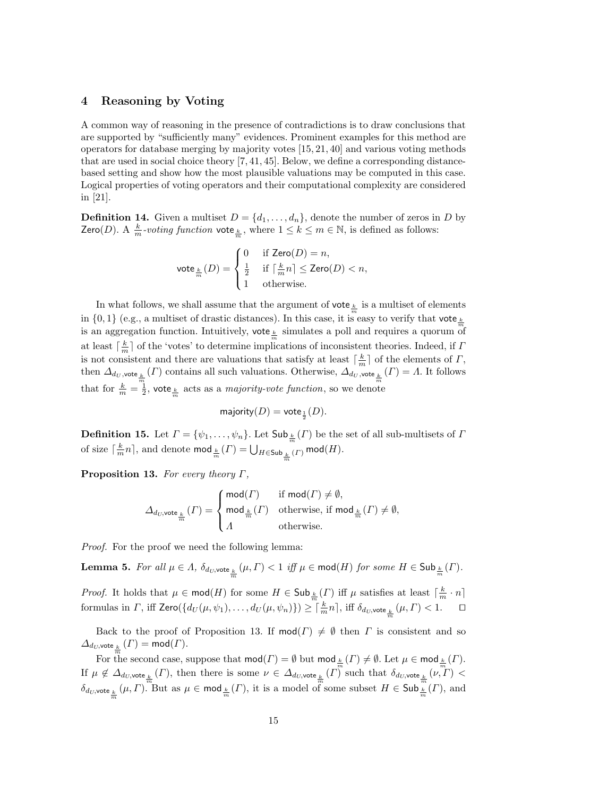## 4 Reasoning by Voting

A common way of reasoning in the presence of contradictions is to draw conclusions that are supported by "sufficiently many" evidences. Prominent examples for this method are operators for database merging by majority votes [15, 21, 40] and various voting methods that are used in social choice theory [7, 41, 45]. Below, we define a corresponding distancebased setting and show how the most plausible valuations may be computed in this case. Logical properties of voting operators and their computational complexity are considered in [21].

**Definition 14.** Given a multiset  $D = \{d_1, \ldots, d_n\}$ , denote the number of zeros in D by Zero(D). A  $\frac{k}{m}$ -voting function vote  $\frac{k}{m}$ , where  $1 \leq k \leq m \in \mathbb{N}$ , is defined as follows:

$$
\text{vote}_{\frac{k}{m}}(D) = \begin{cases} 0 & \text{if } \mathsf{Zero}(D) = n, \\ \frac{1}{2} & \text{if } \lceil \frac{k}{m}n \rceil \le \mathsf{Zero}(D) < n, \\ 1 & \text{otherwise.} \end{cases}
$$

In what follows, we shall assume that the argument of  $\mathsf{vote}\frac{k}{m}$  is a multiset of elements in  $\{0,1\}$  (e.g., a multiset of drastic distances). In this case, it is easy to verify that vote  $\frac{k}{m}$ is an aggregation function. Intuitively,  $\mathsf{vote}_{\frac{k}{m}}$  simulates a poll and requires a quorum of at least  $\lceil \frac{k}{m} \rceil$  of the 'votes' to determine implications of inconsistent theories. Indeed, if  $\Gamma$ is not consistent and there are valuations that satisfy at least  $\lceil \frac{k}{m} \rceil$  of the elements of  $\Gamma$ , then  $\Delta_{d_U, \text{vote}}(\Gamma)$  contains all such valuations. Otherwise,  $\Delta_{d_U, \text{vote}}(\Gamma) = \Lambda$ . It follows that for  $\frac{k}{m} = \frac{1}{2}$ , vote  $\frac{k}{m}$  acts as a *majority-vote function*, so we denote

$$
\mathsf{majority}(D) = \mathsf{vote}_{\frac{1}{2}}(D).
$$

**Definition 15.** Let  $\Gamma = \{\psi_1, \ldots, \psi_n\}$ . Let  $\mathsf{Sub}_{\frac{k}{m}}(\Gamma)$  be the set of all sub-multisets of  $\Gamma$ of size  $\lceil \frac{k}{m}n \rceil$ , and denote  $\text{\rm mod}_{\frac{k}{m}}(\Gamma) = \bigcup_{H \in \text{\rm Sub}_{\frac{k}{m}}(\Gamma)} \text{\rm mod}(H)$ .

**Proposition 13.** For every theory  $\Gamma$ ,

$$
\varDelta_{d_U, \text{vote}\frac{k}{m}}(\Gamma) = \begin{cases} \text{mod}(\Gamma) & \text{if } \text{mod}(\Gamma) \neq \emptyset, \\ \text{mod}\frac{k}{m}(\Gamma) & \text{otherwise, if } \text{mod}\frac{k}{m}(\Gamma) \neq \emptyset, \\ \varLambda & \text{otherwise.} \end{cases}
$$

Proof. For the proof we need the following lemma:

**Lemma 5.** For all  $\mu \in \Lambda$ ,  $\delta_{d_U, \text{vote}} \frac{k}{m} (\mu, \Gamma) < 1$  iff  $\mu \in \text{mod}(H)$  for some  $H \in \text{Sub}_{\frac{k}{m}}(\Gamma)$ .

*Proof.* It holds that  $\mu \in \text{mod}(H)$  for some  $H \in \text{Sub}_{\frac{k}{m}}(F)$  iff  $\mu$  satisfies at least  $\lceil \frac{k}{m} \cdot n \rceil$ formulas in  $\Gamma$ , iff  $\mathsf{Zero}(\{d_U(\mu, \psi_1), \ldots, d_U(\mu, \psi_n)\}) \geq \lceil \frac{k}{m}n \rceil$ , iff  $\delta_{d_U, \mathsf{vote}_{\frac{k}{m}}}(\mu, \Gamma) < 1$ .

Back to the proof of Proposition 13. If  $mod(\Gamma) \neq \emptyset$  then  $\Gamma$  is consistent and so  $\varDelta_{d_U,{\sf vote}} \frac{k}{m}( \varGamma ) = {\sf mod}(\varGamma).$ 

For the second case, suppose that  $mod(\Gamma) = \emptyset$  but  $mod_k(\Gamma) \neq \emptyset$ . Let  $\mu \in mod_k(\Gamma)$ . If  $\mu \notin \Delta_{d_U, \text{vote}_{\frac{k}{m}}}(F)$ , then there is some  $\nu \in \Delta_{d_U, \text{vote}_{\frac{k}{m}}}(F)$  such that  $\delta_{d_U, \text{vote}_{\frac{k}{m}}}(v, F)$  $\delta_{d_U,\text{vote}}\frac{k}{m}(\mu,\Gamma)$ . But as  $\mu \in \text{mod}_{\frac{k}{m}}(F)$ , it is a model of some subset  $H \in \text{Sub}_{\frac{k}{m}}(F)$ , and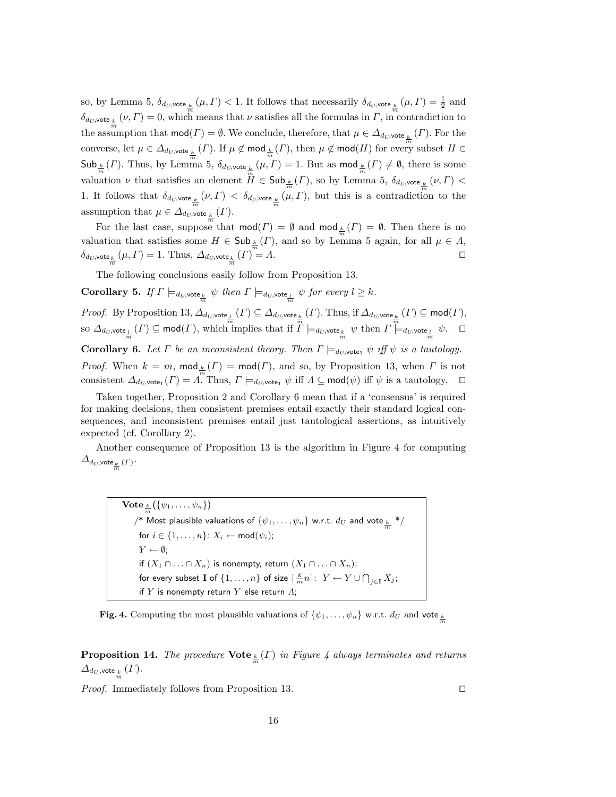so, by Lemma 5,  $\delta_{d_U, \text{vote}} \frac{k}{m}(\mu, \Gamma) < 1$ . It follows that necessarily  $\delta_{d_U, \text{vote}} \frac{k}{m}(\mu, \Gamma) = \frac{1}{2}$  and  $\delta_{d_U,\text{vote}}$   $\frac{k}{m}$   $(\nu, \Gamma) = 0$ , which means that  $\nu$  satisfies all the formulas in  $\Gamma$ , in contradiction to the assumption that  $mod(\Gamma) = \emptyset$ . We conclude, therefore, that  $\mu \in \Delta_{d_U, \text{vote}_{\frac{k}{m}}}(\Gamma)$ . For the converse, let  $\mu \in \Delta_{d_U, \text{vote}\frac{k}{m}}(F)$ . If  $\mu \notin \text{mod}\frac{k}{m}(F)$ , then  $\mu \notin \text{mod}(H)$  for every subset  $H \in$ Sub  $_{\frac{k}{m}}(F)$ . Thus, by Lemma 5,  $\delta_{d_U, \text{vote}}_{\frac{k}{m}}(\mu, \Gamma) = 1$ . But as  $\text{mod}_{\frac{k}{m}}(\Gamma) \neq \emptyset$ , there is some valuation  $\nu$  that satisfies an element  $H \in Sub_{\frac{k}{m}}(I)$ , so by Lemma 5,  $\delta_{d_U, \text{vote}_{\frac{k}{m}}}(\nu, I)$  < 1. It follows that  $\delta_{d_U, \text{vote}\frac{k}{m}}(\nu, \Gamma) < \delta_{d_U, \text{vote}\frac{k}{m}}(\mu, \Gamma)$ , but this is a contradiction to the assumption that  $\mu \in \Delta_{d_U, \text{vote}\frac{k}{m}}(\Gamma)$ .

For the last case, suppose that  $mod(\Gamma) = \emptyset$  and  $mod(\frac{k}{m}(\Gamma)) = \emptyset$ . Then there is no valuation that satisfies some  $H \in \mathsf{Sub}_{\frac{k}{m}}(T)$ , and so by Lemma 5 again, for all  $\mu \in \Lambda$ ,  $\delta_{d_U, \text{vote}\frac{k}{m}}(\mu, \Gamma) = 1$ . Thus,  $\Delta_{d_U, \text{vote}\frac{k}{m}}(\Gamma) = \Lambda$ .

The following conclusions easily follow from Proposition 13.

**Corollary 5.** If  $\Gamma \models_{d_U, \text{vote}_{\frac{k}{m}}} \psi$  then  $\Gamma \models_{d_U, \text{vote}_{\frac{1}{m}}} \psi$  for every  $l \geq k$ .

*Proof.* By Proposition 13,  $\Delta_{d_U, \text{vote}_{\frac{L}{m}}}(\Gamma) \subseteq \Delta_{d_U, \text{vote}_{\frac{k}{m}}}(\Gamma)$ . Thus, if  $\Delta_{d_U, \text{vote}_{\frac{k}{m}}}(\Gamma) \subseteq \text{mod}(\Gamma)$ , so  $\Delta_{d_U, \text{vote}_{\frac{L}{m}}}(\Gamma) \subseteq \text{mod}(\Gamma)$ , which implies that if  $\Gamma \models_{d_U, \text{vote}_{\frac{k}{m}}} \psi$  then  $\Gamma \models_{d_U, \text{vote}_{\frac{L}{m}}} \psi$ . **Corollary 6.** Let  $\Gamma$  be an inconsistent theory. Then  $\Gamma \models_{d_U, \text{vote}_1} \psi$  iff  $\psi$  is a tautology.

*Proof.* When  $k = m$ , mod  $\frac{k}{m}(T) = \text{mod}(T)$ , and so, by Proposition 13, when  $T$  is not consistent  $\Delta_{d_U,\text{vote}_1}(T) = \Lambda$ . Thus,  $\Gamma \models_{d_U,\text{vote}_1} \psi$  iff  $\Lambda \subseteq \text{mod}(\psi)$  iff  $\psi$  is a tautology.  $\Box$ 

Taken together, Proposition 2 and Corollary 6 mean that if a 'consensus' is required for making decisions, then consistent premises entail exactly their standard logical consequences, and inconsistent premises entail just tautological assertions, as intuitively expected (cf. Corollary 2).

Another consequence of Proposition 13 is the algorithm in Figure 4 for computing  $\varDelta_{d_U,{\sf vote}_{\frac{k}{m}}(\varGamma)}$  .

 $\mathbf{Vote}_{\frac{k}{m}}(\{\psi_1,\ldots,\psi_n\})$  $\gamma^\ast$  Most plausible valuations of  $\{\psi_1,\ldots,\psi_n\}$  w.r.t.  $d_U$  and vote  $\frac{k}{m}$   $^{\ast}/\gamma$ for  $i \in \{1, \ldots, n\}$ :  $X_i \leftarrow \text{mod}(\psi_i)$ ;  $Y \leftarrow \emptyset$ ; if  $(X_1 \cap ... \cap X_n)$  is nonempty, return  $(X_1 \cap ... \cap X_n)$ ; for every subset  ${\rm\bf I}$  of  $\{1,\ldots,n\}$  of size  $\lceil \frac km n\rceil\colon\ Y\leftarrow Y\cup \bigcap_{j\in {\rm\bf I}} X_j;$ if Y is nonempty return Y else return  $\Lambda$ ;

**Fig. 4.** Computing the most plausible valuations of  $\{\psi_1, \ldots, \psi_n\}$  w.r.t.  $d_U$  and vote  $\frac{k}{m}$ 

**Proposition 14.** The procedure  $\text{Vote}_{\frac{k}{m}}(\Gamma)$  in Figure 4 always terminates and returns  $\varDelta_{d_{U},\mathsf{vote}\frac{k}{m}}(\varGamma).$ 

*Proof.* Immediately follows from Proposition 13.  $\Box$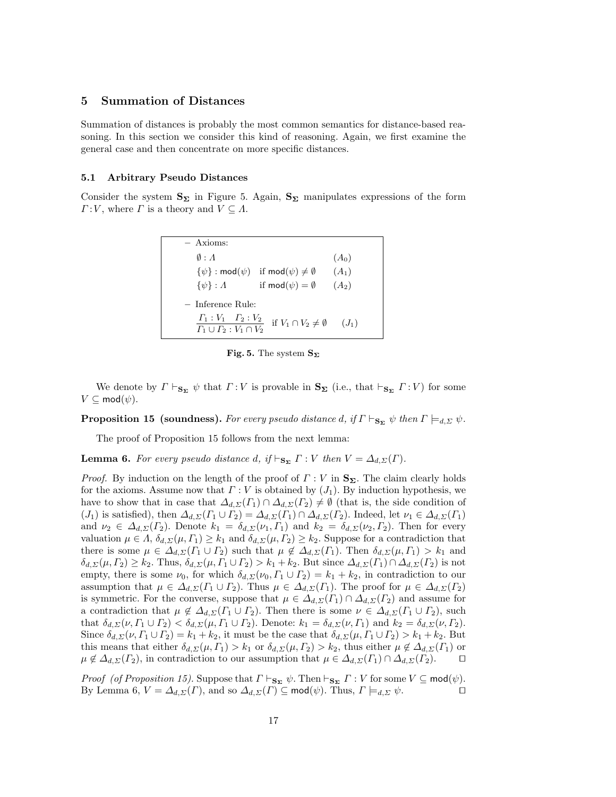## 5 Summation of Distances

Summation of distances is probably the most common semantics for distance-based reasoning. In this section we consider this kind of reasoning. Again, we first examine the general case and then concentrate on more specific distances.

## 5.1 Arbitrary Pseudo Distances

Consider the system  $S_{\Sigma}$  in Figure 5. Again,  $S_{\Sigma}$  manipulates expressions of the form  $\Gamma: V$ , where  $\Gamma$  is a theory and  $V \subseteq \Lambda$ .

| $-$ Axioms:                                                                                                                                             |                                                          |         |  |  |  |  |
|---------------------------------------------------------------------------------------------------------------------------------------------------------|----------------------------------------------------------|---------|--|--|--|--|
| $\emptyset$ : $\Lambda$                                                                                                                                 |                                                          | $(A_0)$ |  |  |  |  |
|                                                                                                                                                         | $\{\psi\}$ : mod $(\psi)$ if mod $(\psi) \neq \emptyset$ | $(A_1)$ |  |  |  |  |
| $\{\psi\}: \Lambda$                                                                                                                                     | if mod $(\psi) = \emptyset$                              | $(A_2)$ |  |  |  |  |
| – Inference Rule:<br>$\frac{\Gamma_1 : V_1 \quad \Gamma_2 : V_2}{\Gamma_1 \cup \Gamma_2 : V_1 \cap V_2}$<br>if $V_1 \cap V_2 \neq \emptyset$<br>$(J_1)$ |                                                          |         |  |  |  |  |
|                                                                                                                                                         |                                                          |         |  |  |  |  |

Fig. 5. The system  $S_{\Sigma}$ 

We denote by  $\Gamma \vdash_{\mathbf{S}_{\Sigma}} \psi$  that  $\Gamma : V$  is provable in  $\mathbf{S}_{\Sigma}$  (i.e., that  $\vdash_{\mathbf{S}_{\Sigma}} \Gamma : V$ ) for some  $V \subseteq \text{mod}(\psi)$ .

**Proposition 15 (soundness).** For every pseudo distance d, if  $\Gamma \vdash_{\mathbf{S}_{\Sigma}} \psi$  then  $\Gamma \models_{d,\Sigma} \psi$ .

The proof of Proposition 15 follows from the next lemma:

**Lemma 6.** For every pseudo distance d, if  $\vdash_{S_{\Sigma}} \Gamma : V$  then  $V = \Delta_{d,\Sigma}(\Gamma)$ .

*Proof.* By induction on the length of the proof of  $\Gamma : V$  in  $\mathbf{S}_{\Sigma}$ . The claim clearly holds for the axioms. Assume now that  $\Gamma: V$  is obtained by  $(J_1)$ . By induction hypothesis, we have to show that in case that  $\Delta_{d,\Sigma}(\Gamma_1) \cap \Delta_{d,\Sigma}(\Gamma_2) \neq \emptyset$  (that is, the side condition of  $(J_1)$  is satisfied), then  $\Delta_{d,\Sigma}(\Gamma_1 \cup \Gamma_2) = \Delta_{d,\Sigma}(\Gamma_1) \cap \Delta_{d,\Sigma}(\Gamma_2)$ . Indeed, let  $\nu_1 \in \Delta_{d,\Sigma}(\Gamma_1)$ and  $\nu_2 \in \Delta_{d,\Sigma}(\Gamma_2)$ . Denote  $k_1 = \delta_{d,\Sigma}(\nu_1,\Gamma_1)$  and  $k_2 = \delta_{d,\Sigma}(\nu_2,\Gamma_2)$ . Then for every valuation  $\mu \in \Lambda$ ,  $\delta_{d,\Sigma}(\mu,\Gamma_1) \geq k_1$  and  $\delta_{d,\Sigma}(\mu,\Gamma_2) \geq k_2$ . Suppose for a contradiction that there is some  $\mu \in \Delta_{d,\Sigma}(\Gamma_1 \cup \Gamma_2)$  such that  $\mu \notin \Delta_{d,\Sigma}(\Gamma_1)$ . Then  $\delta_{d,\Sigma}(\mu,\Gamma_1) > k_1$  and  $\delta_{d,\Sigma}(\mu,\Gamma_2) \geq k_2$ . Thus,  $\delta_{d,\Sigma}(\mu,\Gamma_1 \cup \Gamma_2) > k_1 + k_2$ . But since  $\Delta_{d,\Sigma}(\Gamma_1) \cap \Delta_{d,\Sigma}(\Gamma_2)$  is not empty, there is some  $\nu_0$ , for which  $\delta_{d,\Sigma}(\nu_0, \Gamma_1 \cup \Gamma_2) = k_1 + k_2$ , in contradiction to our assumption that  $\mu \in \Delta_{d,\Sigma}(\Gamma_1 \cup \Gamma_2)$ . Thus  $\mu \in \Delta_{d,\Sigma}(\Gamma_1)$ . The proof for  $\mu \in \Delta_{d,\Sigma}(\Gamma_2)$ is symmetric. For the converse, suppose that  $\mu \in \Delta_{d,\Sigma}(\Gamma_1) \cap \Delta_{d,\Sigma}(\Gamma_2)$  and assume for a contradiction that  $\mu \notin \Delta_{d,\Sigma}(\Gamma_1 \cup \Gamma_2)$ . Then there is some  $\nu \in \Delta_{d,\Sigma}(\Gamma_1 \cup \Gamma_2)$ , such that  $\delta_{d,\Sigma}(\nu, \Gamma_1 \cup \Gamma_2) < \delta_{d,\Sigma}(\mu, \Gamma_1 \cup \Gamma_2)$ . Denote:  $k_1 = \delta_{d,\Sigma}(\nu, \Gamma_1)$  and  $k_2 = \delta_{d,\Sigma}(\nu, \Gamma_2)$ . Since  $\delta_{d,\Sigma}(\nu,\Gamma_1\cup\Gamma_2)=k_1+k_2$ , it must be the case that  $\delta_{d,\Sigma}(\mu,\Gamma_1\cup\Gamma_2)>k_1+k_2$ . But this means that either  $\delta_{d,\Sigma}(\mu,\Gamma_1) > k_1$  or  $\delta_{d,\Sigma}(\mu,\Gamma_2) > k_2$ , thus either  $\mu \notin \Delta_{d,\Sigma}(\Gamma_1)$  or  $\mu \notin \Delta_{d,\Sigma}(\Gamma_2)$ , in contradiction to our assumption that  $\mu \in \Delta_{d,\Sigma}(\Gamma_1) \cap \Delta_{d,\Sigma}(\Gamma_2)$ .  $\Box$ 

*Proof (of Proposition 15).* Suppose that  $\Gamma \vdash_{S_{\Sigma}} \psi$ . Then  $\vdash_{S_{\Sigma}} \Gamma : V$  for some  $V \subseteq \text{mod}(\psi)$ . By Lemma 6,  $V = \Delta_{d,\Sigma}(\Gamma)$ , and so  $\Delta_{d,\Sigma}(\Gamma) \subseteq \text{mod}(\psi)$ . Thus,  $\Gamma \models_{d,\Sigma} \psi$ .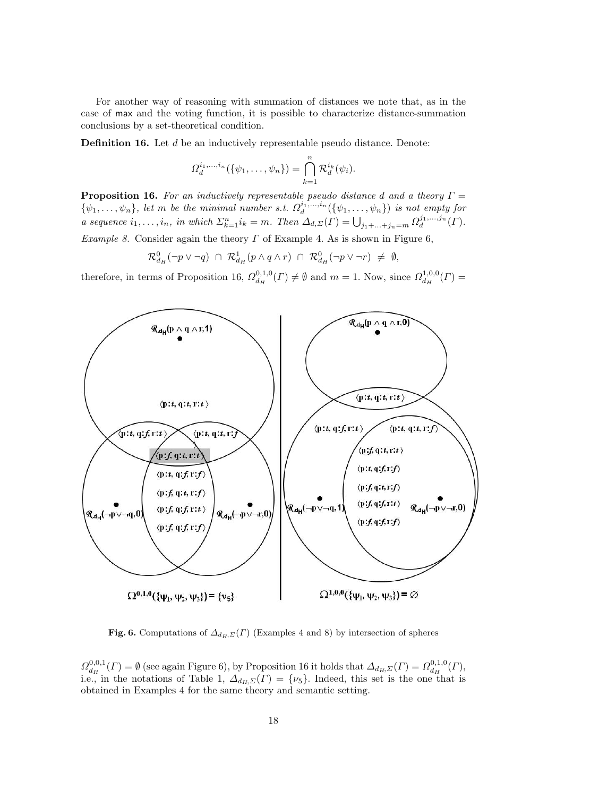For another way of reasoning with summation of distances we note that, as in the case of max and the voting function, it is possible to characterize distance-summation conclusions by a set-theoretical condition.

Definition 16. Let d be an inductively representable pseudo distance. Denote:

$$
\Omega_d^{i_1,...,i_n}(\{\psi_1,...,\psi_n\}) = \bigcap_{k=1}^n \mathcal{R}_d^{i_k}(\psi_i).
$$

**Proposition 16.** For an inductively representable pseudo distance d and a theory  $\Gamma$  =  $\{\psi_1,\ldots,\psi_n\}$ , let m be the minimal number s.t.  $\Omega_d^{i_1,\ldots,i_n}(\{\psi_1,\ldots,\psi_n\})$  is not empty for a sequence  $i_1, \ldots, i_n$ , in which  $\sum_{k=1}^n i_k = m$ . Then  $\Delta_{d,\Sigma}(\Gamma) = \bigcup_{j_1 + \ldots + j_n = m} \Omega_d^{j_1, \ldots, j_n}(\Gamma)$ .

Example 8. Consider again the theory  $\Gamma$  of Example 4. As is shown in Figure 6,

$$
\mathcal{R}_{d_H}^0(\neg p \vee \neg q) \cap \mathcal{R}_{d_H}^1(p \wedge q \wedge r) \cap \mathcal{R}_{d_H}^0(\neg p \vee \neg r) \neq \emptyset,
$$

therefore, in terms of Proposition 16,  $\Omega_{d_H}^{0,1,0}(\Gamma) \neq \emptyset$  and  $m = 1$ . Now, since  $\Omega_{d_H}^{1,0,0}(\Gamma) =$ 



Fig. 6. Computations of  $\Delta_{d_H,\Sigma}(\Gamma)$  (Examples 4 and 8) by intersection of spheres

 $\Omega_{d_H}^{0,0,1}(\Gamma) = \emptyset$  (see again Figure 6), by Proposition 16 it holds that  $\Delta_{d_H,\Sigma}(\Gamma) = \Omega_{d_H}^{0,1,0}(\Gamma)$ , i.e., in the notations of Table 1,  $\Delta_{d_H,\Sigma}(\Gamma) = \{\nu_5\}$ . Indeed, this set is the one that is obtained in Examples 4 for the same theory and semantic setting.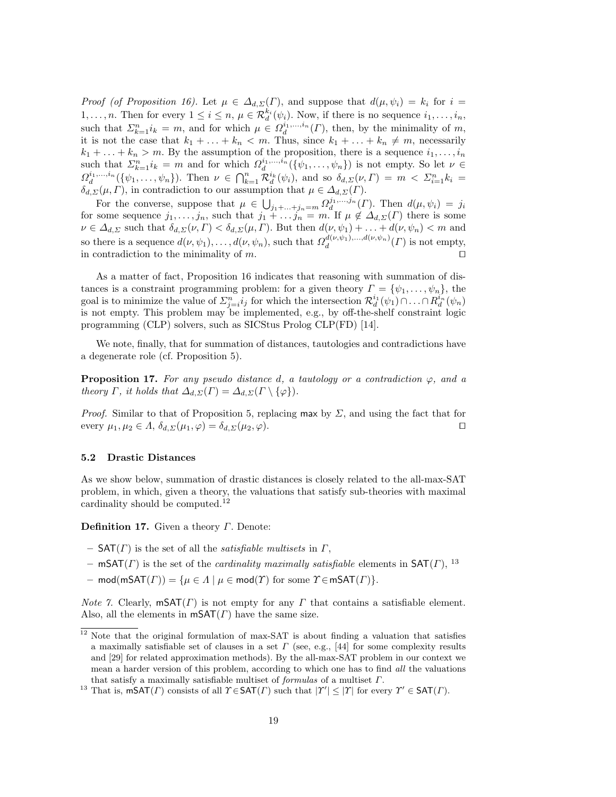Proof (of Proposition 16). Let  $\mu \in \Delta_{d,\Sigma}(\Gamma)$ , and suppose that  $d(\mu,\psi_i) = k_i$  for  $i =$  $1, \ldots, n$ . Then for every  $1 \leq i \leq n$ ,  $\mu \in \mathcal{R}_d^{k_i}(\psi_i)$ . Now, if there is no sequence  $i_1, \ldots, i_n$ , such that  $\sum_{k=1}^n i_k = m$ , and for which  $\mu \in \Omega_d^{i_1,\dots,i_n}(F)$ , then, by the minimality of m, it is not the case that  $k_1 + \ldots + k_n < m$ . Thus, since  $k_1 + \ldots + k_n \neq m$ , necessarily  $k_1 + \ldots + k_n > m$ . By the assumption of the proposition, there is a sequence  $i_1, \ldots, i_n$ such that  $\Sigma_{k=1}^n i_k = m$  and for which  $\Omega_d^{i_1,\ldots,i_n}(\{\psi_1,\ldots,\psi_n\})$  is not empty. So let  $\nu \in$  $\Omega_d^{i_1,...,i_n}(\{\psi_1,...,\psi_n\})$ . Then  $\nu \in \bigcap_{k=1}^n \mathcal{R}_d^{i_k}(\psi_i)$ , and so  $\delta_{d,\Sigma}(\nu,\Gamma) = m < \Sigma_{i=1}^n k_i$  $\delta_{d,\Sigma}(\mu,\Gamma)$ , in contradiction to our assumption that  $\mu \in \Delta_{d,\Sigma}(\Gamma)$ .

For the converse, suppose that  $\mu \in \bigcup_{j_1+\ldots+j_n=m} \Omega_d^{j_1,\ldots,j_n}(F)$ . Then  $d(\mu,\psi_i) = j_i$ for some sequence  $j_1, \ldots, j_n$ , such that  $j_1 + \ldots j_n = m$ . If  $\mu \notin \Delta_{d,\Sigma}(\Gamma)$  there is some  $\nu \in \Delta_{d,\Sigma}$  such that  $\delta_{d,\Sigma}(\nu,\Gamma) < \delta_{d,\Sigma}(\mu,\Gamma)$ . But then  $d(\nu,\psi_1) + \ldots + d(\nu,\psi_n) < m$  and so there is a sequence  $d(\nu, \psi_1), \ldots, d(\nu, \psi_n)$ , such that  $\Omega_d^{d(\nu, \psi_1), \ldots, d(\nu, \psi_n)}(\Gamma)$  is not empty, in contradiction to the minimality of  $m$ .

As a matter of fact, Proposition 16 indicates that reasoning with summation of distances is a constraint programming problem: for a given theory  $\Gamma = {\psi_1, \ldots, \psi_n}$ , the goal is to minimize the value of  $\sum_{j=i}^n i_j$  for which the intersection  $\mathcal{R}^{i_1}_d(\psi_1) \cap \ldots \cap \mathcal{R}^{i_n}_d(\psi_n)$ is not empty. This problem may be implemented, e.g., by off-the-shelf constraint logic programming (CLP) solvers, such as SICStus Prolog CLP(FD) [14].

We note, finally, that for summation of distances, tautologies and contradictions have a degenerate role (cf. Proposition 5).

**Proposition 17.** For any pseudo distance d, a tautology or a contradiction  $\varphi$ , and a theory  $\Gamma$ , it holds that  $\Delta_{d,\Sigma}(\Gamma) = \Delta_{d,\Sigma}(\Gamma \setminus \{\varphi\}).$ 

*Proof.* Similar to that of Proposition 5, replacing max by  $\Sigma$ , and using the fact that for every  $\mu_1, \mu_2 \in A$ ,  $\delta_{d,\Sigma}(\mu_1, \varphi) = \delta_{d,\Sigma}(\mu_2, \varphi)$ .

### 5.2 Drastic Distances

As we show below, summation of drastic distances is closely related to the all-max-SAT problem, in which, given a theory, the valuations that satisfy sub-theories with maximal cardinality should be computed.<sup>12</sup>

**Definition 17.** Given a theory  $\Gamma$ . Denote:

- $SAT(\Gamma)$  is the set of all the *satisfiable multisets* in  $\Gamma$ ,
- mSAT(Γ) is the set of the *cardinality maximally satisfiable* elements in  $SAT(\Gamma)$ , <sup>13</sup>
- mod(mSAT( $\Gamma$ )) = { $\mu \in \Lambda \mid \mu \in \text{mod}(\Upsilon)$  for some  $\Upsilon \in \text{mSAT}(\Gamma)$  }.

*Note 7.* Clearly, mSAT( $\Gamma$ ) is not empty for any  $\Gamma$  that contains a satisfiable element. Also, all the elements in  $\mathsf{mSAT}(\Gamma)$  have the same size.

<sup>&</sup>lt;sup>12</sup> Note that the original formulation of max-SAT is about finding a valuation that satisfies a maximally satisfiable set of clauses in a set  $\Gamma$  (see, e.g., [44] for some complexity results and [29] for related approximation methods). By the all-max-SAT problem in our context we mean a harder version of this problem, according to which one has to find all the valuations that satisfy a maximally satisfiable multiset of  $formulas$  of a multiset  $\Gamma$ .

<sup>&</sup>lt;sup>13</sup> That is, mSAT(*Γ*) consists of all  $\Upsilon \in \mathsf{SAT}(I)$  such that  $|\Upsilon'| \leq |\Upsilon|$  for every  $\Upsilon' \in \mathsf{SAT}(I)$ .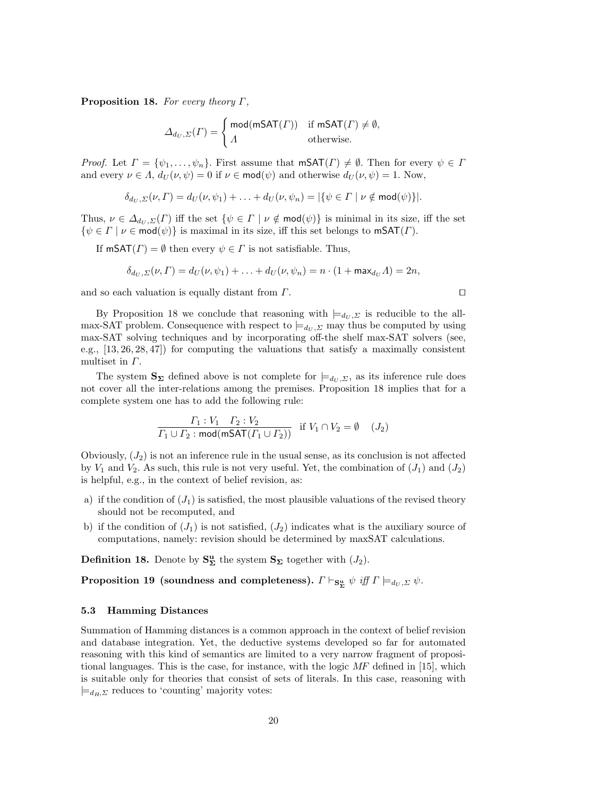**Proposition 18.** For every theory  $\Gamma$ ,

$$
\Delta_{d_U, \Sigma}(\Gamma) = \begin{cases} \text{mod}(\text{mSAT}(\Gamma)) & \text{if } \text{mSAT}(\Gamma) \neq \emptyset, \\ \Lambda & \text{otherwise.} \end{cases}
$$

*Proof.* Let  $\Gamma = {\psi_1, \ldots, \psi_n}$ . First assume that  $\mathsf{mSAT}(\Gamma) \neq \emptyset$ . Then for every  $\psi \in \Gamma$ and every  $\nu \in \Lambda$ ,  $d_U(\nu, \psi) = 0$  if  $\nu \in \text{mod}(\psi)$  and otherwise  $d_U(\nu, \psi) = 1$ . Now,

$$
\delta_{d_U, \Sigma}(\nu, \Gamma) = d_U(\nu, \psi_1) + \ldots + d_U(\nu, \psi_n) = |\{\psi \in \Gamma \mid \nu \notin \mathsf{mod}(\psi)\}|.
$$

Thus,  $\nu \in \Delta_{d_U, \Sigma}(\Gamma)$  iff the set  $\{\psi \in \Gamma \mid \nu \notin \mathsf{mod}(\psi)\}\$ is minimal in its size, iff the set  $\{\psi \in \Gamma \mid \nu \in \text{mod}(\psi)\}\$ is maximal in its size, iff this set belongs to mSAT(Γ).

If  $\mathsf{mSAT}(\Gamma) = \emptyset$  then every  $\psi \in \Gamma$  is not satisfiable. Thus,

$$
\delta_{d_U, \Sigma}(\nu, \Gamma) = d_U(\nu, \psi_1) + \ldots + d_U(\nu, \psi_n) = n \cdot (1 + \max_{d_U} \Lambda) = 2n,
$$

and so each valuation is equally distant from  $\Gamma$ .

By Proposition 18 we conclude that reasoning with  $\models_{d_U, \Sigma}$  is reducible to the allmax-SAT problem. Consequence with respect to  $\models_{d_U, \Sigma}$  may thus be computed by using max-SAT solving techniques and by incorporating off-the shelf max-SAT solvers (see, e.g., [13, 26, 28, 47]) for computing the valuations that satisfy a maximally consistent multiset in Γ.

The system  $S_{\Sigma}$  defined above is not complete for  $\models_{d_U, \Sigma}$ , as its inference rule does not cover all the inter-relations among the premises. Proposition 18 implies that for a complete system one has to add the following rule:

$$
\frac{\Gamma_1: V_1 \quad \Gamma_2: V_2}{\Gamma_1 \cup \Gamma_2: \text{mod}(\text{mSAT}(\Gamma_1 \cup \Gamma_2))} \quad \text{if } V_1 \cap V_2 = \emptyset \quad (J_2)
$$

Obviously,  $(J_2)$  is not an inference rule in the usual sense, as its conclusion is not affected by  $V_1$  and  $V_2$ . As such, this rule is not very useful. Yet, the combination of  $(J_1)$  and  $(J_2)$ is helpful, e.g., in the context of belief revision, as:

- a) if the condition of  $(J_1)$  is satisfied, the most plausible valuations of the revised theory should not be recomputed, and
- b) if the condition of  $(J_1)$  is not satisfied,  $(J_2)$  indicates what is the auxiliary source of computations, namely: revision should be determined by maxSAT calculations.

**Definition 18.** Denote by  $S_{\Sigma}^{\mathbf{u}}$  the system  $S_{\Sigma}$  together with  $(J_2)$ .

Proposition 19 (soundness and completeness).  $\varGamma\vdash_{\mathbf{S^u_{\mathbf{\Sigma}}}}\psi\ if\varGamma\models_{d_U,\varSigma}\psi.$ 

#### 5.3 Hamming Distances

Summation of Hamming distances is a common approach in the context of belief revision and database integration. Yet, the deductive systems developed so far for automated reasoning with this kind of semantics are limited to a very narrow fragment of propositional languages. This is the case, for instance, with the logic  $MF$  defined in [15], which is suitable only for theories that consist of sets of literals. In this case, reasoning with  $\models_{d_H,\Sigma}$  reduces to 'counting' majority votes: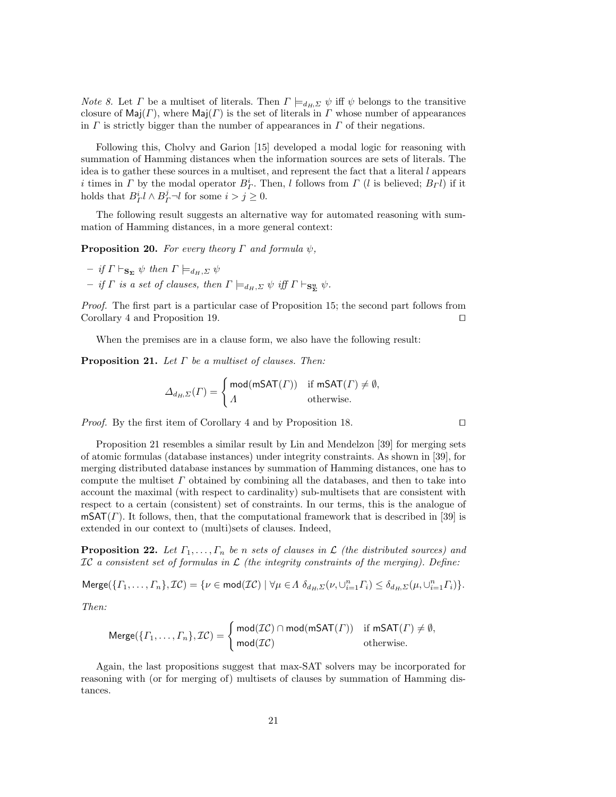*Note 8.* Let *Γ* be a multiset of literals. Then  $\Gamma \models_{d_H,\Sigma} \psi$  iff  $\psi$  belongs to the transitive closure of Maj $(\Gamma)$ , where Maj $(\Gamma)$  is the set of literals in  $\Gamma$  whose number of appearances in  $\Gamma$  is strictly bigger than the number of appearances in  $\Gamma$  of their negations.

Following this, Cholvy and Garion [15] developed a modal logic for reasoning with summation of Hamming distances when the information sources are sets of literals. The idea is to gather these sources in a multiset, and represent the fact that a literal  $l$  appears *i* times in  $\Gamma$  by the modal operator  $B^i_{\Gamma}$ . Then, *l* follows from  $\Gamma$  (*l* is believed;  $B_{\Gamma}$ *l*) if it holds that  $B^i_{\Gamma} l \wedge B^j_{\Gamma} \neg l$  for some  $i > j \geq 0$ .

The following result suggests an alternative way for automated reasoning with summation of Hamming distances, in a more general context:

**Proposition 20.** For every theory  $\Gamma$  and formula  $\psi$ ,

– if  $\Gamma \vdash_{\mathbf{S}_{\Sigma}} \psi$  then  $\Gamma \models_{d_H, \Sigma} \psi$  $-$  if  $\Gamma$  is a set of clauses, then  $\Gamma \models_{d_H, \Sigma} \psi$  iff  $\Gamma \vdash_{\mathbf{S^u_{\Sigma}}} \psi$ .

Proof. The first part is a particular case of Proposition 15; the second part follows from Corollary 4 and Proposition 19.  $\Box$ 

When the premises are in a clause form, we also have the following result:

**Proposition 21.** Let  $\Gamma$  be a multiset of clauses. Then:

$$
\Delta_{d_H, \Sigma}(\Gamma) = \begin{cases} \text{mod}(\text{mSAT}(\Gamma)) & \text{if } \text{mSAT}(\Gamma) \neq \emptyset, \\ \Lambda & \text{otherwise.} \end{cases}
$$

*Proof.* By the first item of Corollary 4 and by Proposition 18.  $\Box$ 

Proposition 21 resembles a similar result by Lin and Mendelzon [39] for merging sets of atomic formulas (database instances) under integrity constraints. As shown in [39], for merging distributed database instances by summation of Hamming distances, one has to compute the multiset  $\Gamma$  obtained by combining all the databases, and then to take into account the maximal (with respect to cardinality) sub-multisets that are consistent with respect to a certain (consistent) set of constraints. In our terms, this is the analogue of  $\mathsf{mSAT}(\Gamma)$ . It follows, then, that the computational framework that is described in [39] is extended in our context to (multi)sets of clauses. Indeed,

**Proposition 22.** Let  $\Gamma_1, \ldots, \Gamma_n$  be n sets of clauses in L (the distributed sources) and IC a consistent set of formulas in  $\mathcal L$  (the integrity constraints of the merging). Define:

$$
\mathsf{Merge}(\{ \varGamma_1,\ldots,\varGamma_n\},\mathcal{IC})=\{\nu\in \mathsf{mod}(\mathcal{IC})\mid \forall \mu\in \varLambda\,\, \delta_{d_H,\varSigma}(\nu,\cup_{i=1}^n\varGamma_i)\leq \delta_{d_H,\varSigma}(\mu,\cup_{i=1}^n\varGamma_i)\}.
$$

Then:

$$
\mathsf{Merge}(\{\Gamma_1,\ldots,\Gamma_n\},\mathcal{IC})=\left\{\begin{matrix} \mathsf{mod}(\mathcal{IC})\cap \mathsf{mod}(\mathsf{mSAT}(\Gamma)) & \text{if } \mathsf{mSAT}(\Gamma)\neq \emptyset, \\ \mathsf{mod}(\mathcal{IC}) & \text{otherwise.} \end{matrix}\right.
$$

Again, the last propositions suggest that max-SAT solvers may be incorporated for reasoning with (or for merging of) multisets of clauses by summation of Hamming distances.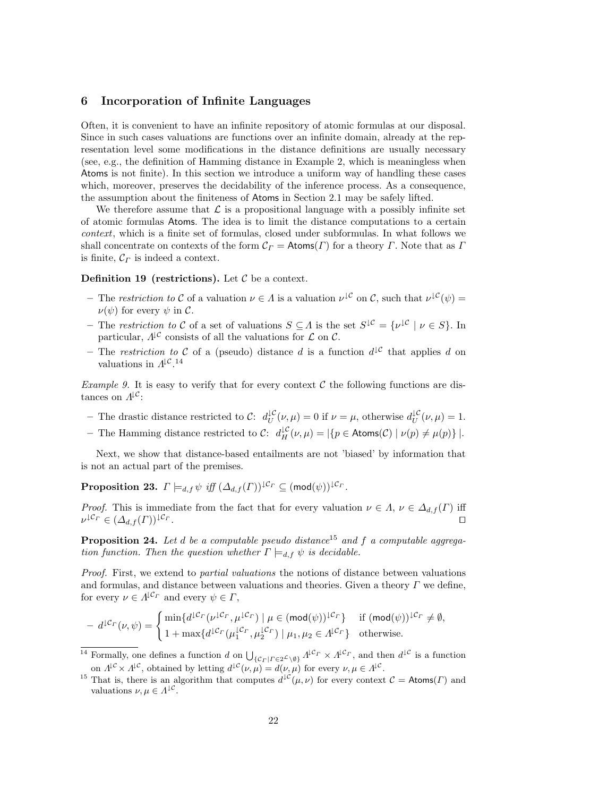## 6 Incorporation of Infinite Languages

Often, it is convenient to have an infinite repository of atomic formulas at our disposal. Since in such cases valuations are functions over an infinite domain, already at the representation level some modifications in the distance definitions are usually necessary (see, e.g., the definition of Hamming distance in Example 2, which is meaningless when Atoms is not finite). In this section we introduce a uniform way of handling these cases which, moreover, preserves the decidability of the inference process. As a consequence, the assumption about the finiteness of Atoms in Section 2.1 may be safely lifted.

We therefore assume that  $\mathcal L$  is a propositional language with a possibly infinite set of atomic formulas Atoms. The idea is to limit the distance computations to a certain context, which is a finite set of formulas, closed under subformulas. In what follows we shall concentrate on contexts of the form  $\mathcal{C}_{\Gamma} = \mathsf{Atoms}(\Gamma)$  for a theory  $\Gamma$ . Note that as  $\Gamma$ is finite,  $\mathcal{C}_{\Gamma}$  is indeed a context.

#### **Definition 19** (restrictions). Let  $\mathcal{C}$  be a context.

- The restriction to C of a valuation  $\nu \in \Lambda$  is a valuation  $\nu^{\downarrow c}$  on C, such that  $\nu^{\downarrow c}(\psi)$  =  $\nu(\psi)$  for every  $\psi$  in C.
- The restriction to C of a set of valuations  $S \subseteq \Lambda$  is the set  $S^{\downarrow c} = \{ \nu^{\downarrow c} \mid \nu \in S \}$ . In particular,  $\Lambda^{\downarrow\mathcal{C}}$  consists of all the valuations for  $\mathcal{L}$  on  $\mathcal{C}$ .
- The restriction to C of a (pseudo) distance d is a function  $d<sup>l</sup>$  that applies d on valuations in  $\Lambda^{\downarrow \mathcal{C}}$ .<sup>14</sup>

*Example 9.* It is easy to verify that for every context  $\mathcal C$  the following functions are distances on  $\Lambda^{\downarrow c}$ :

- The drastic distance restricted to C:  $d_U^{\downarrow c}(\nu,\mu) = 0$  if  $\nu = \mu$ , otherwise  $d_U^{\downarrow c}(\nu,\mu) = 1$ .
- The Hamming distance restricted to C:  $d_H^{\downarrow\mathcal{C}}(\nu,\mu) = |\{p \in \text{Atoms}(\mathcal{C}) \mid \nu(p) \neq \mu(p)\}|.$

Next, we show that distance-based entailments are not 'biased' by information that is not an actual part of the premises.

**Proposition 23.**  $\Gamma \models_{d,f} \psi \text{ iff } (\Delta_{d,f}(\Gamma))^{\downarrow \mathcal{C}_{\Gamma}} \subseteq (\text{mod}(\psi))^{\downarrow \mathcal{C}_{\Gamma}}$ .

*Proof.* This is immediate from the fact that for every valuation  $\nu \in \Lambda$ ,  $\nu \in \Delta_{d,f}(\Gamma)$  iff  $\nu^{\downarrow c}$   $\in$   $(\Delta_{d,f}(\Gamma))^{\downarrow c}$ .

**Proposition 24.** Let d be a computable pseudo distance<sup>15</sup> and f a computable aggregation function. Then the question whether  $\Gamma \models_{d,f} \psi$  is decidable.

Proof. First, we extend to partial valuations the notions of distance between valuations and formulas, and distance between valuations and theories. Given a theory  $\Gamma$  we define, for every  $\nu \in \Lambda^{\downarrow C_r}$  and every  $\psi \in \Gamma$ ,

$$
- d^{\downarrow}{}_{\mathcal{C}_\Gamma}(\nu,\psi) = \begin{cases} \min \{ d^{\downarrow}{}_{\mathcal{C}_\Gamma}(\nu^{\downarrow}{}_{\mathcal{C}_\Gamma},\mu^{\downarrow}{}_{\mathcal{C}_\Gamma}) \mid \mu \in (\text{mod}(\psi))^{\downarrow}{}_{\mathcal{C}_\Gamma} \} & \text{if } (\text{mod}(\psi))^{\downarrow}{}_{\mathcal{C}_\Gamma} \neq \emptyset, \\ 1 + \max \{ d^{\downarrow}{}_{\mathcal{C}_\Gamma}(\mu^{\downarrow}{}_{\mathcal{C}_\Gamma},\mu^{\downarrow}{}_{\mathcal{C}_\Gamma}) \mid \mu_1, \mu_2 \in \Lambda^{\downarrow}{}_{\mathcal{C}_\Gamma} \} & \text{otherwise.} \end{cases}
$$

<sup>&</sup>lt;sup>14</sup> Formally, one defines a function d on  $\bigcup_{\{C_{\Gamma}| \Gamma \in 2^{\mathcal{L}} \setminus \emptyset\}} \Lambda^{\mathcal{L}_{\Gamma}} \times \Lambda^{\mathcal{L}_{\Gamma}}$ , and then  $d^{\mathcal{L}}$  is a function on  $A^{\mathcal{L}} \times A^{\mathcal{L}}$ , obtained by letting  $d^{\mathcal{L}}(\nu,\mu) = d(\nu,\mu)$  for every  $\nu,\mu \in A^{\mathcal{L}}$ .

<sup>&</sup>lt;sup>15</sup> That is, there is an algorithm that computes  $d^{l}(\mu,\nu)$  for every context  $\mathcal{C} = \text{Atoms}(\Gamma)$  and valuations  $\nu, \mu \in \Lambda^{\downarrow c}$ .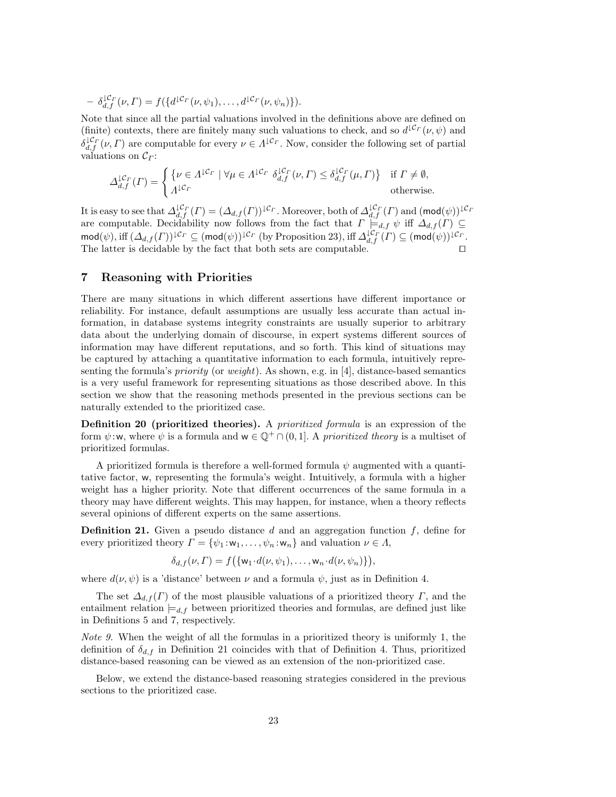$$
- \delta_{d,f}^{\mathcal{L}_{\Gamma}}(\nu,\Gamma) = f(\{d^{\mathcal{L}_{\Gamma}}(\nu,\psi_1),\ldots,d^{\mathcal{L}_{\Gamma}}(\nu,\psi_n)\}).
$$

Note that since all the partial valuations involved in the definitions above are defined on (finite) contexts, there are finitely many such valuations to check, and so  $d^{\downarrow c}(\nu, \psi)$  and  $\delta_{d,f}^{\downarrow\mathcal{C}_\Gamma}(\nu,\Gamma)$  are computable for every  $\nu \in \Lambda^{\downarrow\mathcal{C}_\Gamma}$ . Now, consider the following set of partial valuations on  $\mathcal{C}_{\Gamma}$ :

$$
\Delta_{d,f}^{\downarrow C_{\varGamma}}(T) = \begin{cases} \{ \nu \in \Lambda^{\downarrow C_{\varGamma}} \mid \forall \mu \in \Lambda^{\downarrow C_{\varGamma}} \, \delta_{d,f}^{\downarrow C_{\varGamma}}(\nu, \varGamma) \le \delta_{d,f}^{\downarrow C_{\varGamma}}(\mu, \varGamma) \} & \text{if } \varGamma \ne \emptyset, \\ \Lambda^{\downarrow C_{\varGamma}} & \text{otherwise.} \end{cases}
$$

It is easy to see that  $\Delta_{d,f}^{\downarrow C_{\varGamma}}(\varGamma)=(\Delta_{d,f}(\varGamma))^{\downarrow C_{\varGamma}}$ . Moreover, both of  $\Delta_{d,f}^{\downarrow C_{\varGamma}}(\varGamma)$  and  $(\textsf{mod}(\psi))^{\downarrow C_{\varGamma}}$ are computable. Decidability now follows from the fact that  $\Gamma \models_{d,f} \psi$  iff  $\Delta_{d,f}(\Gamma) \subseteq$  $\mathsf{mod}(\psi), \text{ iff } (\Delta_{d,f}(\Gamma))^{\downarrow\mathcal{C}_\Gamma} \subseteq (\mathsf{mod}(\psi))^{\downarrow\mathcal{C}_\Gamma} \text{ (by Proposition 23), iff } \Delta_{d,f}^{\downarrow\mathcal{C}_\Gamma}(\Gamma) \subseteq (\mathsf{mod}(\psi))^{\downarrow\mathcal{C}_\Gamma}.$ The latter is decidable by the fact that both sets are computable.

## 7 Reasoning with Priorities

There are many situations in which different assertions have different importance or reliability. For instance, default assumptions are usually less accurate than actual information, in database systems integrity constraints are usually superior to arbitrary data about the underlying domain of discourse, in expert systems different sources of information may have different reputations, and so forth. This kind of situations may be captured by attaching a quantitative information to each formula, intuitively representing the formula's priority (or weight). As shown, e.g. in [4], distance-based semantics is a very useful framework for representing situations as those described above. In this section we show that the reasoning methods presented in the previous sections can be naturally extended to the prioritized case.

Definition 20 (prioritized theories). A prioritized formula is an expression of the form  $\psi$ :w, where  $\psi$  is a formula and  $\mathsf{w} \in \mathbb{Q}^+ \cap (0,1]$ . A prioritized theory is a multiset of prioritized formulas.

A prioritized formula is therefore a well-formed formula  $\psi$  augmented with a quantitative factor, w, representing the formula's weight. Intuitively, a formula with a higher weight has a higher priority. Note that different occurrences of the same formula in a theory may have different weights. This may happen, for instance, when a theory reflects several opinions of different experts on the same assertions.

**Definition 21.** Given a pseudo distance  $d$  and an aggregation function  $f$ , define for every prioritized theory  $\Gamma = {\psi_1 : w_1, \ldots, \psi_n : w_n}$  and valuation  $\nu \in \Lambda$ ,

$$
\delta_{d,f}(\nu,\Gamma)=f\big(\{\mathsf{w}_1\!\cdot\!d(\nu,\psi_1),\ldots,\mathsf{w}_n\!\cdot\!d(\nu,\psi_n)\}\big),
$$

where  $d(\nu, \psi)$  is a 'distance' between  $\nu$  and a formula  $\psi$ , just as in Definition 4.

The set  $\Delta_{d,f}(\Gamma)$  of the most plausible valuations of a prioritized theory  $\Gamma$ , and the entailment relation  $\models d, f$  between prioritized theories and formulas, are defined just like in Definitions 5 and 7, respectively.

Note 9. When the weight of all the formulas in a prioritized theory is uniformly 1, the definition of  $\delta_{d,f}$  in Definition 21 coincides with that of Definition 4. Thus, prioritized distance-based reasoning can be viewed as an extension of the non-prioritized case.

Below, we extend the distance-based reasoning strategies considered in the previous sections to the prioritized case.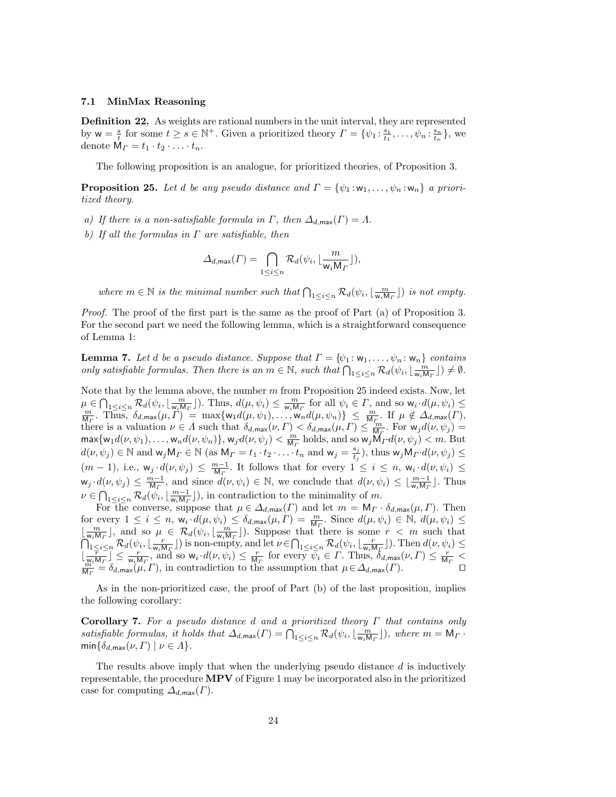#### 7.1 MinMax Reasoning

Definition 22. As weights are rational numbers in the unit interval, they are represented by  $\mathsf{w} = \frac{s}{t}$  for some  $t \geq s \in \mathbb{N}^+$ . Given a prioritized theory  $\Gamma = \{\psi_1 : \frac{s_1}{t_1}, \dots, \psi_n : \frac{s_n}{t_n}\}$ , we denote  $\mathsf{M}_{\Gamma} = t_1 \cdot t_2 \cdot \ldots \cdot t_n$ .

The following proposition is an analogue, for prioritized theories, of Proposition 3.

**Proposition 25.** Let d be any pseudo distance and  $\Gamma = {\psi_1 : \psi_1, \ldots, \psi_n : \psi_n}$  a prioritized theory.

a) If there is a non-satisfiable formula in  $\Gamma$ , then  $\Delta_{d,\max}(\Gamma) = \Lambda$ .

b) If all the formulas in  $\Gamma$  are satisfiable, then

$$
\varDelta_{d,\max}(\varGamma)=\bigcap_{1\leq i\leq n}\mathcal{R}_d(\psi_i,\lfloor\frac{m}{\mathsf{w}_i\mathsf{M}_\varGamma}\rfloor),
$$

where  $m \in \mathbb{N}$  is the minimal number such that  $\bigcap_{1 \leq i \leq n} \mathcal{R}_d(\psi_i, \lfloor \frac{m}{w_i M_{\Gamma}} \rfloor)$  is not empty.

Proof. The proof of the first part is the same as the proof of Part (a) of Proposition 3. For the second part we need the following lemma, which is a straightforward consequence of Lemma 1:

**Lemma 7.** Let d be a pseudo distance. Suppose that  $\Gamma = {\psi_1 : w_1, \ldots, \psi_n : w_n}$  contains only satisfiable formulas. Then there is an  $m \in \mathbb{N}$ , such that  $\bigcap_{1 \leq i \leq n} \mathcal{R}_d(\psi_i, \lfloor \frac{m}{w_i M_r} \rfloor) \neq \emptyset$ .

Note that by the lemma above, the number m from Proposition 25 indeed exists. Now, let  $\mu \in \bigcap_{1 \leq i \leq n} \mathcal{R}_d(\psi_i, \lfloor \frac{m}{w_i M_\Gamma} \rfloor)$ . Thus,  $d(\mu, \psi_i) \leq \frac{m}{w_i M_\Gamma}$  for all  $\psi_i \in \Gamma$ , and so  $w_i \cdot d(\mu, \psi_i) \leq \frac{m}{M_\Gamma}$ . Thus,  $\delta_{d, \max}(\mu, \Gamma) = \max\{w_1 d(\mu, \psi_1), \ldots, w_n d(\mu, \psi_n)\} \leq \frac{m}{M_\Gamma}$ . If  $\mu \notin \Delta_{d, \max}(\$ there is a valuation  $\nu \in \Lambda$  such that  $\delta_{d,\max}(\nu,\Gamma) < \delta_{d,\max}(\mu,\Gamma) \leq \frac{m}{M_{\Gamma}}$ . For  $w_j d(\nu,\psi_j) =$  $\max\{w_1d(\nu,\psi_1),\ldots,w_nd(\nu,\psi_n)\},$   $w_jd(\nu,\psi_j)<\frac{m}{M_r}\text{ holds, and so }w_j\mathsf{M}_Td(\nu,\psi_j). But$  $d(\nu, \psi_j) \in \mathbb{N}$  and  $\mathsf{w}_j \mathsf{M}_{\Gamma} \in \mathbb{N}$  (as  $\mathsf{M}_{\Gamma} = t_1 \cdot t_2 \cdot \ldots \cdot t_n$  and  $\mathsf{w}_j = \frac{s_j}{t_j}$  $(\frac{s_j}{t_j})$ , thus  $\mathsf{w}_j \mathsf{M}_{\Gamma} \cdot d(\nu, \psi_j) \leq$  $(m-1)$ , i.e.,  $w_j \cdot d(\nu, \psi_j) \leq \frac{m-1}{M_F}$ . It follows that for every  $1 \leq i \leq n$ ,  $w_i \cdot d(\nu, \psi_i) \leq$  $\mathsf{w}_j \cdot d(\nu, \psi_j) \leq \frac{m-1}{\mathsf{M}_{\Gamma}}$ , and since  $d(\nu, \psi_i) \in \mathbb{N}$ , we conclude that  $d(\nu, \psi_i) \leq \lfloor \frac{m-1}{\mathsf{w}_i \mathsf{M}_{\Gamma}} \rfloor$ . Thus  $\nu \in \bigcap_{1 \leq i \leq n} \mathcal{R}_d(\psi_i, \lfloor \frac{m-1}{w_i M_\Gamma} \rfloor)$ , in contradiction to the minimality of m.

For the converse, suppose that  $\mu \in \Delta_{d,\max}(\Gamma)$  and let  $m = \mathsf{M}_{\Gamma} \cdot \delta_{d,\max}(\mu, \Gamma)$ . Then for every  $1 \leq i \leq n$ ,  $w_i \cdot d(\mu, \psi_i) \leq \delta_{d, \max}(\mu, \Gamma) = \frac{m}{M_{\Gamma}}$ . Since  $d(\mu, \psi_i) \in \mathbb{N}$ ,  $d(\mu, \psi_i) \leq$  $\lfloor \frac{m}{w_i M_r} \rfloor$ , and so  $\mu \in \mathcal{R}_d(\psi_i, \lfloor \frac{m}{w_i M_r} \rfloor)$ . Suppose that there is some  $r < m$  such that  $\bigcap_{1\leq i\leq n}^{n} \mathcal{R}_d(\psi_i, \lfloor \frac{r}{w_i M_{\Gamma}} \rfloor)$  is non-empty, and let  $\nu \in \bigcap_{1\leq i\leq n} \mathcal{R}_d(\psi_i, \lfloor \frac{r}{w_i M_{\Gamma}} \rfloor)$ . Then  $d(\nu, \psi_i) \leq$  $\lfloor \frac{m}{w_i M_T} \rfloor \leq \frac{r}{w_i M_T}$ , and so  $w_i \cdot d(\nu, \psi_i) \leq \frac{r}{M_T}$  for every  $\psi_i \in \Gamma$ . Thus,  $\delta_{d, \max}(\nu, \Gamma) \leq \frac{r}{M_T} < \frac{m}{M_T} \leq \delta_{d, \max}(\mu, \Gamma)$ , in contradiction to the assumption that  $\mu \in \Delta_{d, \max}(\Gamma)$ .

As in the non-prioritized case, the proof of Part (b) of the last proposition, implies the following corollary:

Corollary 7. For a pseudo distance d and a prioritized theory  $\Gamma$  that contains only satisfiable formulas, it holds that  $\Delta_{d,\max}(\Gamma) = \bigcap_{1 \leq i \leq n} \mathcal{R}_d(\psi_i, \lfloor \frac{m}{w_i M_{\Gamma}} \rfloor)$ , where  $m = M_{\Gamma}$ .  $min\{\delta_{d,max}(\nu,\Gamma) \mid \nu \in \Lambda\}.$ 

The results above imply that when the underlying pseudo distance d is inductively representable, the procedure MPV of Figure 1 may be incorporated also in the prioritized case for computing  $\Delta_{d,\max}(\Gamma)$ .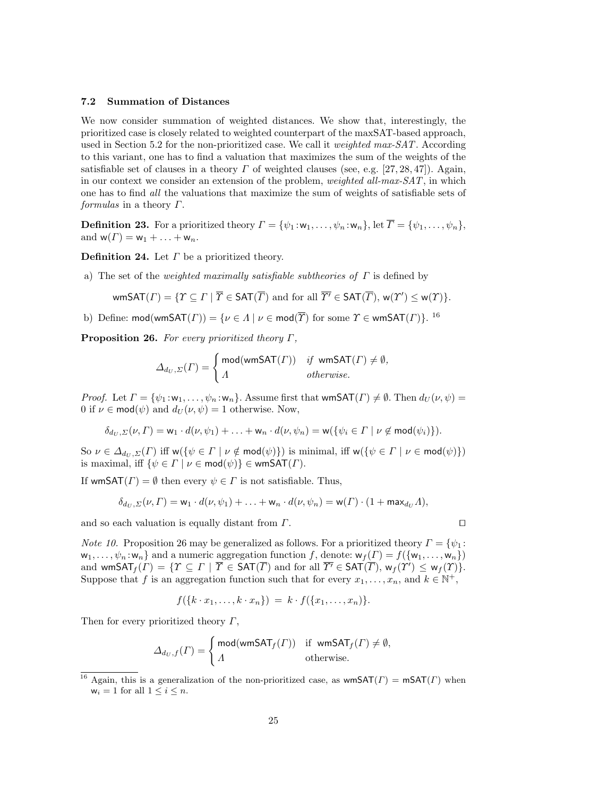#### 7.2 Summation of Distances

We now consider summation of weighted distances. We show that, interestingly, the prioritized case is closely related to weighted counterpart of the maxSAT-based approach, used in Section 5.2 for the non-prioritized case. We call it *weighted max-SAT*. According to this variant, one has to find a valuation that maximizes the sum of the weights of the satisfiable set of clauses in a theory  $\Gamma$  of weighted clauses (see, e.g. [27, 28, 47]). Again, in our context we consider an extension of the problem, weighted all-max-SAT, in which one has to find all the valuations that maximize the sum of weights of satisfiable sets of  $formulas$  in a theory  $\Gamma$ .

**Definition 23.** For a prioritized theory  $\Gamma = {\psi_1, \dots, \psi_n; w_n}, \text{let } \overline{\Gamma} = {\psi_1, \dots, \psi_n},$ and  $w(\Gamma) = w_1 + \ldots + w_n$ .

**Definition 24.** Let  $\Gamma$  be a prioritized theory.

a) The set of the *weighted maximally satisfiable subtheories of*  $\Gamma$  is defined by

$$
\text{wmSAT}(\Gamma) = \{ \Upsilon \subseteq \Gamma \mid \overline{\Upsilon} \in \text{SAT}(\overline{\Gamma}) \text{ and for all } \overline{\Upsilon'} \in \text{SAT}(\overline{\Gamma}), \, w(\Upsilon') \leq w(\Upsilon) \}.
$$

b) Define: mod(wmSAT( $\Gamma$ )) = { $\nu \in \Lambda \mid \nu \in \text{mod}(\overline{\Upsilon})$  for some  $\Upsilon \in \text{wmSAT}(\Gamma)$ }. <sup>16</sup>

**Proposition 26.** For every prioritized theory  $\Gamma$ ,

$$
\Delta_{d_U, \Sigma}(\Gamma) = \begin{cases} \text{mod}(\text{wmSAT}(\Gamma)) & \text{if } \text{wmSAT}(\Gamma) \neq \emptyset, \\ \Lambda & \text{otherwise.} \end{cases}
$$

*Proof.* Let  $\Gamma = {\psi_1 : w_1, \ldots, \psi_n : w_n}$ . Assume first that wmSAT $(\Gamma) \neq \emptyset$ . Then  $d_U(\nu, \psi)$  = 0 if  $\nu \in \text{mod}(\psi)$  and  $d_U(\nu, \psi) = 1$  otherwise. Now,

$$
\delta_{d_U, \Sigma}(\nu, \Gamma) = \mathsf{w}_1 \cdot d(\nu, \psi_1) + \ldots + \mathsf{w}_n \cdot d(\nu, \psi_n) = \mathsf{w}(\{\psi_i \in \Gamma \mid \nu \notin \mathsf{mod}(\psi_i)\}).
$$

So  $\nu \in \Delta_{d_U, \Sigma}(\Gamma)$  iff  $w(\{\psi \in \Gamma \mid \nu \notin \text{mod}(\psi)\})$  is minimal, iff  $w(\{\psi \in \Gamma \mid \nu \in \text{mod}(\psi)\})$ is maximal, iff  $\{\psi \in \Gamma \mid \nu \in \text{mod}(\psi)\}\in \text{wmSAT}(\Gamma)$ .

If wmSAT $(\Gamma) = \emptyset$  then every  $\psi \in \Gamma$  is not satisfiable. Thus,

$$
\delta_{d_U, \Sigma}(\nu, \Gamma) = \mathsf{w}_1 \cdot d(\nu, \psi_1) + \ldots + \mathsf{w}_n \cdot d(\nu, \psi_n) = \mathsf{w}(\Gamma) \cdot (1 + \max_{d_U} \Lambda),
$$

and so each valuation is equally distant from  $\Gamma$ .

*Note 10.* Proposition 26 may be generalized as follows. For a prioritized theory  $\Gamma = {\psi_1}$ :  $w_1, \ldots, \psi_n$ : $w_n$ } and a numeric aggregation function f, denote:  $w_f(\Gamma) = f({w_1, \ldots, w_n})$ and wmSAT $f(\Gamma) = \{ \Upsilon \subseteq \Gamma \mid \overline{\Upsilon} \in \text{SAT}(\overline{\Gamma}) \text{ and for all } \overline{\Upsilon'} \in \text{SAT}(\overline{\Gamma}), w_f(\Upsilon') \leq w_f(\Upsilon) \}.$ Suppose that f is an aggregation function such that for every  $x_1, \ldots, x_n$ , and  $k \in \mathbb{N}^+$ ,

$$
f(\lbrace k \cdot x_1,\ldots,k \cdot x_n \rbrace) = k \cdot f(\lbrace x_1,\ldots,x_n \rbrace).
$$

Then for every prioritized theory  $\Gamma$ ,

$$
\Delta_{d_U, f}(\Gamma) = \begin{cases} \text{mod}(\text{wmSAT}_f(\Gamma)) & \text{if } \text{wmSAT}_f(\Gamma) \neq \emptyset, \\ \Lambda & \text{otherwise.} \end{cases}
$$

<sup>&</sup>lt;sup>16</sup> Again, this is a generalization of the non-prioritized case, as wmSAT( $\Gamma$ ) = mSAT( $\Gamma$ ) when  $w_i = 1$  for all  $1 \leq i \leq n$ .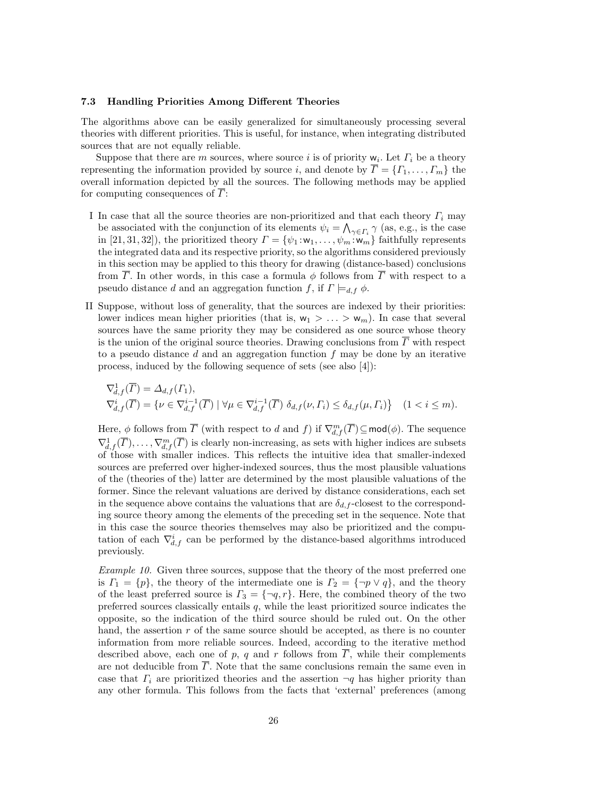#### 7.3 Handling Priorities Among Different Theories

The algorithms above can be easily generalized for simultaneously processing several theories with different priorities. This is useful, for instance, when integrating distributed sources that are not equally reliable.

Suppose that there are m sources, where source i is of priority  $w_i$ . Let  $\Gamma_i$  be a theory representing the information provided by source i, and denote by  $\overline{\Gamma} = \{\Gamma_1, \ldots, \Gamma_m\}$  the overall information depicted by all the sources. The following methods may be applied for computing consequences of  $\overline{T}$ :

- I In case that all the source theories are non-prioritized and that each theory  $\Gamma_i$  may be associated with the conjunction of its elements  $\psi_i = \bigwedge_{\gamma \in \Gamma_i} \gamma$  (as, e.g., is the case in [21, 31, 32]), the prioritized theory  $\Gamma = {\psi_1 : \mathbf{w}_1, \dots, \psi_m : \mathbf{w}_m}$  faithfully represents the integrated data and its respective priority, so the algorithms considered previously in this section may be applied to this theory for drawing (distance-based) conclusions from  $\overline{\Gamma}$ . In other words, in this case a formula  $\phi$  follows from  $\overline{\Gamma}$  with respect to a pseudo distance d and an aggregation function f, if  $\Gamma \models_{d,f} \phi$ .
- II Suppose, without loss of generality, that the sources are indexed by their priorities: lower indices mean higher priorities (that is,  $w_1 > \ldots > w_m$ ). In case that several sources have the same priority they may be considered as one source whose theory is the union of the original source theories. Drawing conclusions from  $\overline{\Gamma}$  with respect to a pseudo distance  $d$  and an aggregation function  $f$  may be done by an iterative process, induced by the following sequence of sets (see also [4]):

$$
\nabla_{d,f}^1(\overline{\Gamma}) = \Delta_{d,f}(\Gamma_1),
$$
  
\n
$$
\nabla_{d,f}^i(\overline{\Gamma}) = \{ \nu \in \nabla_{d,f}^{i-1}(\overline{\Gamma}) \mid \forall \mu \in \nabla_{d,f}^{i-1}(\overline{\Gamma}) \; \delta_{d,f}(\nu,\Gamma_i) \leq \delta_{d,f}(\mu,\Gamma_i) \} \quad (1 < i \leq m).
$$

Here,  $\phi$  follows from  $\overline{\Gamma}$  (with respect to d and f) if  $\nabla_{d,f}^{m}(\overline{\Gamma}) \subseteq \text{mod}(\phi)$ . The sequence  $\nabla^1_{d,f}(\overline{\Gamma}),\ldots,\nabla^n_{d,f}(\overline{\Gamma})$  is clearly non-increasing, as sets with higher indices are subsets of those with smaller indices. This reflects the intuitive idea that smaller-indexed sources are preferred over higher-indexed sources, thus the most plausible valuations of the (theories of the) latter are determined by the most plausible valuations of the former. Since the relevant valuations are derived by distance considerations, each set in the sequence above contains the valuations that are  $\delta_{d,f}$ -closest to the corresponding source theory among the elements of the preceding set in the sequence. Note that in this case the source theories themselves may also be prioritized and the computation of each  $\nabla_{d,f}^{i}$  can be performed by the distance-based algorithms introduced previously.

Example 10. Given three sources, suppose that the theory of the most preferred one is  $\Gamma_1 = \{p\}$ , the theory of the intermediate one is  $\Gamma_2 = \{\neg p \vee q\}$ , and the theory of the least preferred source is  $\Gamma_3 = \{\neg q, r\}$ . Here, the combined theory of the two preferred sources classically entails q, while the least prioritized source indicates the opposite, so the indication of the third source should be ruled out. On the other hand, the assertion  $r$  of the same source should be accepted, as there is no counter information from more reliable sources. Indeed, according to the iterative method described above, each one of p, q and r follows from  $\overline{\Gamma}$ , while their complements are not deducible from  $\overline{T}$ . Note that the same conclusions remain the same even in case that  $\Gamma_i$  are prioritized theories and the assertion  $\neg q$  has higher priority than any other formula. This follows from the facts that 'external' preferences (among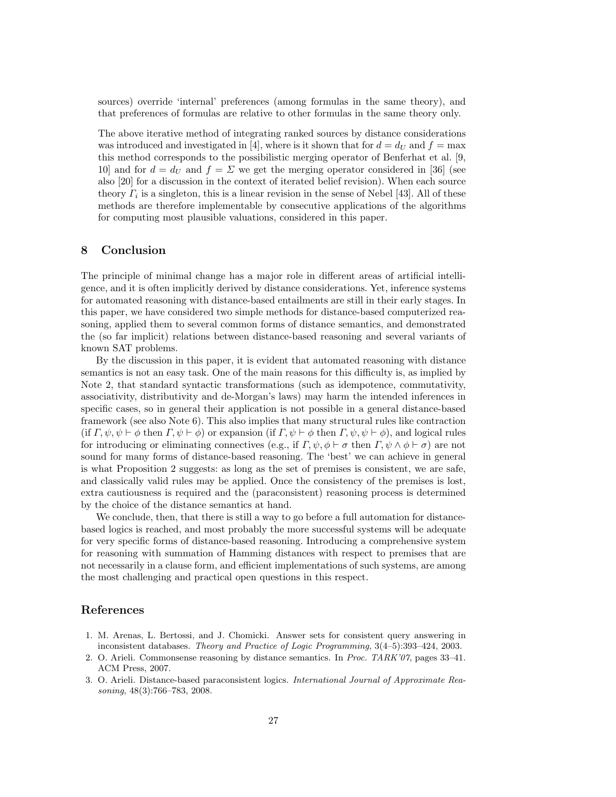sources) override 'internal' preferences (among formulas in the same theory), and that preferences of formulas are relative to other formulas in the same theory only.

The above iterative method of integrating ranked sources by distance considerations was introduced and investigated in [4], where is it shown that for  $d = d_U$  and  $f = \max$ this method corresponds to the possibilistic merging operator of Benferhat et al. [9, 10] and for  $d = d_U$  and  $f = \Sigma$  we get the merging operator considered in [36] (see also [20] for a discussion in the context of iterated belief revision). When each source theory  $\Gamma_i$  is a singleton, this is a linear revision in the sense of Nebel [43]. All of these methods are therefore implementable by consecutive applications of the algorithms for computing most plausible valuations, considered in this paper.

# 8 Conclusion

The principle of minimal change has a major role in different areas of artificial intelligence, and it is often implicitly derived by distance considerations. Yet, inference systems for automated reasoning with distance-based entailments are still in their early stages. In this paper, we have considered two simple methods for distance-based computerized reasoning, applied them to several common forms of distance semantics, and demonstrated the (so far implicit) relations between distance-based reasoning and several variants of known SAT problems.

By the discussion in this paper, it is evident that automated reasoning with distance semantics is not an easy task. One of the main reasons for this difficulty is, as implied by Note 2, that standard syntactic transformations (such as idempotence, commutativity, associativity, distributivity and de-Morgan's laws) may harm the intended inferences in specific cases, so in general their application is not possible in a general distance-based framework (see also Note 6). This also implies that many structural rules like contraction (if  $\Gamma, \psi, \psi \vdash \phi$  then  $\Gamma, \psi \vdash \phi$ ) or expansion (if  $\Gamma, \psi \vdash \phi$  then  $\Gamma, \psi, \psi \vdash \phi$ ), and logical rules for introducing or eliminating connectives (e.g., if  $\Gamma, \psi, \phi \vdash \sigma$  then  $\Gamma, \psi \land \phi \vdash \sigma$ ) are not sound for many forms of distance-based reasoning. The 'best' we can achieve in general is what Proposition 2 suggests: as long as the set of premises is consistent, we are safe, and classically valid rules may be applied. Once the consistency of the premises is lost, extra cautiousness is required and the (paraconsistent) reasoning process is determined by the choice of the distance semantics at hand.

We conclude, then, that there is still a way to go before a full automation for distancebased logics is reached, and most probably the more successful systems will be adequate for very specific forms of distance-based reasoning. Introducing a comprehensive system for reasoning with summation of Hamming distances with respect to premises that are not necessarily in a clause form, and efficient implementations of such systems, are among the most challenging and practical open questions in this respect.

## References

- 1. M. Arenas, L. Bertossi, and J. Chomicki. Answer sets for consistent query answering in inconsistent databases. Theory and Practice of Logic Programming, 3(4–5):393–424, 2003.
- 2. O. Arieli. Commonsense reasoning by distance semantics. In Proc. TARK'07, pages 33–41. ACM Press, 2007.
- 3. O. Arieli. Distance-based paraconsistent logics. International Journal of Approximate Reasoning, 48(3):766–783, 2008.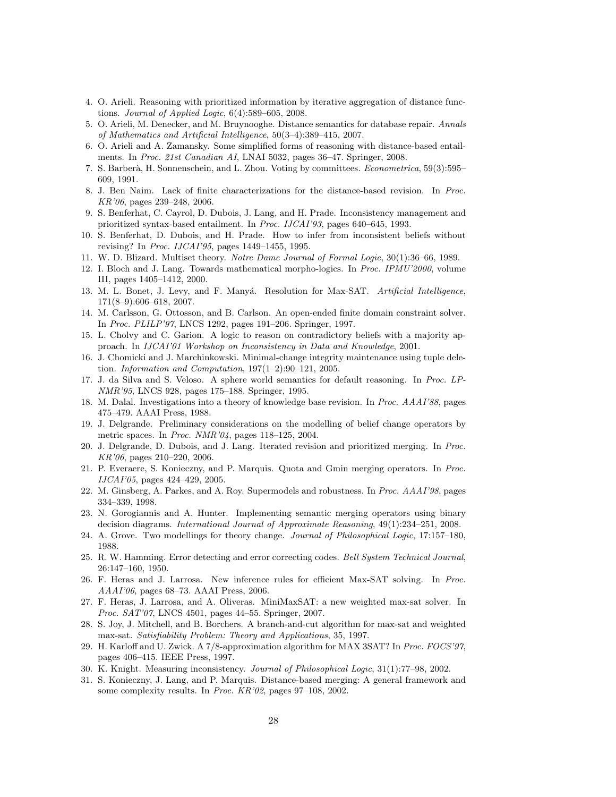- 4. O. Arieli. Reasoning with prioritized information by iterative aggregation of distance functions. Journal of Applied Logic,  $6(4):589-605$ , 2008.
- 5. O. Arieli, M. Denecker, and M. Bruynooghe. Distance semantics for database repair. Annals of Mathematics and Artificial Intelligence, 50(3–4):389–415, 2007.
- 6. O. Arieli and A. Zamansky. Some simplified forms of reasoning with distance-based entailments. In Proc. 21st Canadian AI, LNAI 5032, pages 36–47. Springer, 2008.
- 7. S. Barberà, H. Sonnenschein, and L. Zhou. Voting by committees. *Econometrica*, 59(3):595– 609, 1991.
- 8. J. Ben Naim. Lack of finite characterizations for the distance-based revision. In Proc. KR'06, pages 239–248, 2006.
- 9. S. Benferhat, C. Cayrol, D. Dubois, J. Lang, and H. Prade. Inconsistency management and prioritized syntax-based entailment. In Proc. IJCAI'93, pages 640–645, 1993.
- 10. S. Benferhat, D. Dubois, and H. Prade. How to infer from inconsistent beliefs without revising? In Proc. IJCAI'95, pages 1449–1455, 1995.
- 11. W. D. Blizard. Multiset theory. Notre Dame Journal of Formal Logic, 30(1):36–66, 1989.
- 12. I. Bloch and J. Lang. Towards mathematical morpho-logics. In Proc. IPMU'2000, volume III, pages 1405–1412, 2000.
- 13. M. L. Bonet, J. Levy, and F. Manyá. Resolution for Max-SAT. Artificial Intelligence, 171(8–9):606–618, 2007.
- 14. M. Carlsson, G. Ottosson, and B. Carlson. An open-ended finite domain constraint solver. In Proc. PLILP'97, LNCS 1292, pages 191–206. Springer, 1997.
- 15. L. Cholvy and C. Garion. A logic to reason on contradictory beliefs with a majority approach. In IJCAI'01 Workshop on Inconsistency in Data and Knowledge, 2001.
- 16. J. Chomicki and J. Marchinkowski. Minimal-change integrity maintenance using tuple deletion. Information and Computation,  $197(1-2):90-121$ , 2005.
- 17. J. da Silva and S. Veloso. A sphere world semantics for default reasoning. In Proc. LP-NMR'95, LNCS 928, pages 175–188. Springer, 1995.
- 18. M. Dalal. Investigations into a theory of knowledge base revision. In Proc. AAAI'88, pages 475–479. AAAI Press, 1988.
- 19. J. Delgrande. Preliminary considerations on the modelling of belief change operators by metric spaces. In *Proc. NMR*'04, pages  $118-125$ , 2004.
- 20. J. Delgrande, D. Dubois, and J. Lang. Iterated revision and prioritized merging. In Proc. KR'06, pages 210–220, 2006.
- 21. P. Everaere, S. Konieczny, and P. Marquis. Quota and Gmin merging operators. In Proc. IJCAI'05, pages 424–429, 2005.
- 22. M. Ginsberg, A. Parkes, and A. Roy. Supermodels and robustness. In Proc. AAAI'98, pages 334–339, 1998.
- 23. N. Gorogiannis and A. Hunter. Implementing semantic merging operators using binary decision diagrams. International Journal of Approximate Reasoning, 49(1):234–251, 2008.
- 24. A. Grove. Two modellings for theory change. Journal of Philosophical Logic, 17:157–180, 1988.
- 25. R. W. Hamming. Error detecting and error correcting codes. Bell System Technical Journal, 26:147–160, 1950.
- 26. F. Heras and J. Larrosa. New inference rules for efficient Max-SAT solving. In Proc. AAAI'06, pages 68–73. AAAI Press, 2006.
- 27. F. Heras, J. Larrosa, and A. Oliveras. MiniMaxSAT: a new weighted max-sat solver. In Proc. SAT'07, LNCS 4501, pages 44–55. Springer, 2007.
- 28. S. Joy, J. Mitchell, and B. Borchers. A branch-and-cut algorithm for max-sat and weighted max-sat. Satisfiability Problem: Theory and Applications, 35, 1997.
- 29. H. Karloff and U. Zwick. A 7/8-approximation algorithm for MAX 3SAT? In Proc. FOCS'97, pages 406–415. IEEE Press, 1997.
- 30. K. Knight. Measuring inconsistency. Journal of Philosophical Logic, 31(1):77–98, 2002.
- 31. S. Konieczny, J. Lang, and P. Marquis. Distance-based merging: A general framework and some complexity results. In Proc. KR'02, pages 97–108, 2002.